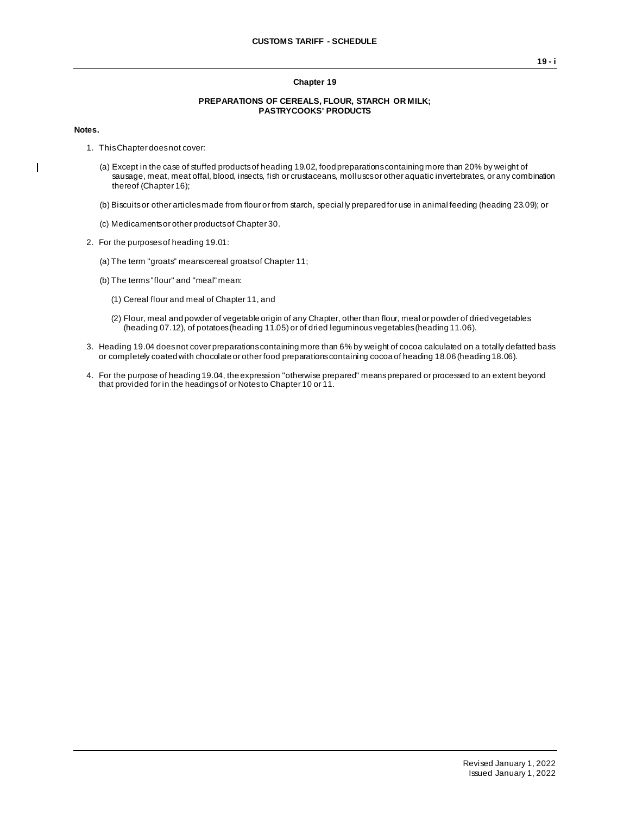#### **Chapter 19**

#### **PREPARATIONS OF CEREALS, FLOUR, STARCH OR MILK; PASTRYCOOKS' PRODUCTS**

#### **Notes.**

 $\blacksquare$ 

- 1. This Chapter does not cover:
	- (a) Except in the case of stuffed products of heading 19.02, food preparations containing more than 20% by weight of sausage, meat, meat offal, blood, insects, fish or crustaceans, molluscs or other aquatic invertebrates, or any combination thereof (Chapter 16);
	- (b) Biscuits or other articles made from flour or from starch, specially prepared for use in animal feeding (heading 23.09); or
	- (c) Medicaments or other products of Chapter 30.
- 2. For the purposes of heading 19.01:
	- (a) The term "groats" means cereal groats of Chapter 11;
	- (b) The terms "flour" and "meal" mean:
		- (1) Cereal flour and meal of Chapter 11, and
		- (2) Flour, meal and powder of vegetable origin of any Chapter, other than flour, meal or powder of dried vegetables (heading 07.12), of potatoes (heading 11.05) or of dried leguminous vegetables (heading 11.06).
- 3. Heading 19.04 does not cover preparations containing more than 6% by weight of cocoa calculated on a totally defatted basis or completely coated with chocolate or other food preparations containing cocoa of heading 18.06 (heading 18.06).
- 4. For the purpose of heading 19.04, the expression "otherwise prepared" means prepared or processed to an extent beyond that provided for in the headings of or Notes to Chapter 10 or 11.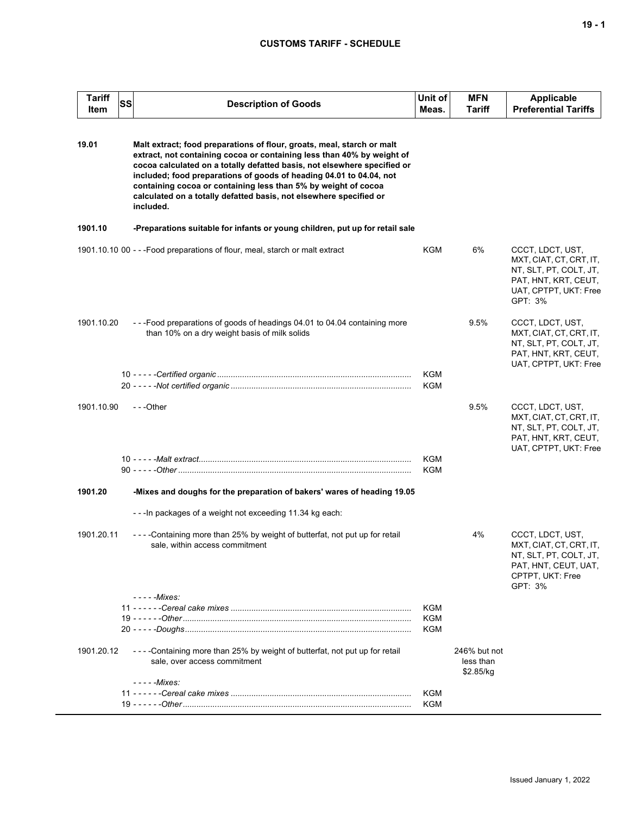| <b>Tariff</b><br>Item | SS | <b>Description of Goods</b>                                                                                                                                                                                                                                                                                                                                                                                                                              | Unit of<br>Meas. | <b>MFN</b><br>Tariff                   | <b>Applicable</b><br><b>Preferential Tariffs</b>                                                                                  |
|-----------------------|----|----------------------------------------------------------------------------------------------------------------------------------------------------------------------------------------------------------------------------------------------------------------------------------------------------------------------------------------------------------------------------------------------------------------------------------------------------------|------------------|----------------------------------------|-----------------------------------------------------------------------------------------------------------------------------------|
| 19.01                 |    | Malt extract; food preparations of flour, groats, meal, starch or malt<br>extract, not containing cocoa or containing less than 40% by weight of<br>cocoa calculated on a totally defatted basis, not elsewhere specified or<br>included; food preparations of goods of heading 04.01 to 04.04, not<br>containing cocoa or containing less than 5% by weight of cocoa<br>calculated on a totally defatted basis, not elsewhere specified or<br>included. |                  |                                        |                                                                                                                                   |
| 1901.10               |    | -Preparations suitable for infants or young children, put up for retail sale                                                                                                                                                                                                                                                                                                                                                                             |                  |                                        |                                                                                                                                   |
|                       |    | 1901.10.10 00 - - - Food preparations of flour, meal, starch or malt extract                                                                                                                                                                                                                                                                                                                                                                             | KGM              | 6%                                     | CCCT, LDCT, UST,<br>MXT, CIAT, CT, CRT, IT,<br>NT, SLT, PT, COLT, JT,<br>PAT, HNT, KRT, CEUT,<br>UAT, CPTPT, UKT: Free<br>GPT: 3% |
| 1901.10.20            |    | ---Food preparations of goods of headings 04.01 to 04.04 containing more<br>than 10% on a dry weight basis of milk solids                                                                                                                                                                                                                                                                                                                                |                  | 9.5%                                   | CCCT, LDCT, UST,<br>MXT, CIAT, CT, CRT, IT,<br>NT, SLT, PT, COLT, JT,<br>PAT, HNT, KRT, CEUT,<br>UAT, CPTPT, UKT: Free            |
|                       |    |                                                                                                                                                                                                                                                                                                                                                                                                                                                          | KGM              |                                        |                                                                                                                                   |
|                       |    |                                                                                                                                                                                                                                                                                                                                                                                                                                                          | KGM              |                                        |                                                                                                                                   |
| 1901.10.90            |    | ---Other                                                                                                                                                                                                                                                                                                                                                                                                                                                 | KGM<br>KGM       | 9.5%                                   | CCCT, LDCT, UST,<br>MXT, CIAT, CT, CRT, IT,<br>NT, SLT, PT, COLT, JT,<br>PAT, HNT, KRT, CEUT,<br>UAT, CPTPT, UKT: Free            |
| 1901.20               |    | -Mixes and doughs for the preparation of bakers' wares of heading 19.05                                                                                                                                                                                                                                                                                                                                                                                  |                  |                                        |                                                                                                                                   |
|                       |    | --- In packages of a weight not exceeding 11.34 kg each:                                                                                                                                                                                                                                                                                                                                                                                                 |                  |                                        |                                                                                                                                   |
| 1901.20.11            |    | - - - - Containing more than 25% by weight of butterfat, not put up for retail<br>sale, within access commitment                                                                                                                                                                                                                                                                                                                                         |                  | 4%                                     | CCCT, LDCT, UST,<br>MXT, CIAT, CT, CRT, IT,<br>NT, SLT, PT, COLT, JT,<br>PAT, HNT, CEUT, UAT,<br>CPTPT, UKT: Free<br>GPT: 3%      |
|                       |    | - - - - -Mixes:                                                                                                                                                                                                                                                                                                                                                                                                                                          | KGM              |                                        |                                                                                                                                   |
|                       |    |                                                                                                                                                                                                                                                                                                                                                                                                                                                          | KGM              |                                        |                                                                                                                                   |
|                       |    |                                                                                                                                                                                                                                                                                                                                                                                                                                                          | KGM              |                                        |                                                                                                                                   |
| 1901.20.12            |    | - - - - Containing more than 25% by weight of butterfat, not put up for retail<br>sale, over access commitment                                                                                                                                                                                                                                                                                                                                           |                  | 246% but not<br>less than<br>\$2.85/kg |                                                                                                                                   |
|                       |    | - - - - - Mixes:                                                                                                                                                                                                                                                                                                                                                                                                                                         |                  |                                        |                                                                                                                                   |
|                       |    |                                                                                                                                                                                                                                                                                                                                                                                                                                                          | KGM              |                                        |                                                                                                                                   |
|                       |    |                                                                                                                                                                                                                                                                                                                                                                                                                                                          | KGM              |                                        |                                                                                                                                   |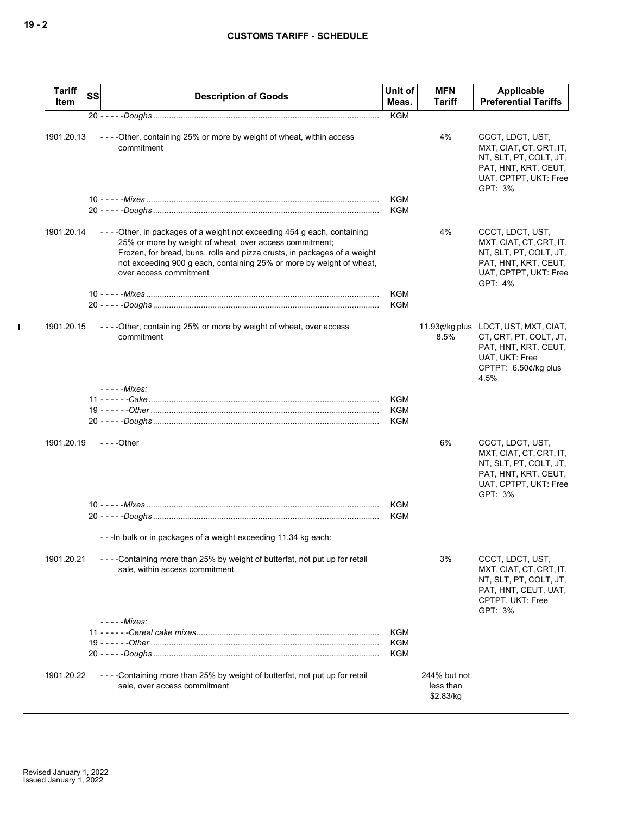| Tariff<br>Item | <b>SS</b> | <b>Description of Goods</b>                                                                                                                                                                                                                                                                                      | Unit of<br>Meas. | <b>MFN</b><br><b>Tariff</b>            | Applicable<br><b>Preferential Tariffs</b>                                                                                                |
|----------------|-----------|------------------------------------------------------------------------------------------------------------------------------------------------------------------------------------------------------------------------------------------------------------------------------------------------------------------|------------------|----------------------------------------|------------------------------------------------------------------------------------------------------------------------------------------|
|                |           |                                                                                                                                                                                                                                                                                                                  | <b>KGM</b>       |                                        |                                                                                                                                          |
| 1901.20.13     |           | ----Other, containing 25% or more by weight of wheat, within access<br>commitment                                                                                                                                                                                                                                |                  | 4%                                     | CCCT, LDCT, UST,<br>MXT, CIAT, CT, CRT, IT,<br>NT, SLT, PT, COLT, JT,<br>PAT, HNT, KRT, CEUT,<br>UAT, CPTPT, UKT: Free<br>GPT: 3%        |
|                |           |                                                                                                                                                                                                                                                                                                                  | KGM              |                                        |                                                                                                                                          |
|                |           |                                                                                                                                                                                                                                                                                                                  | <b>KGM</b>       |                                        |                                                                                                                                          |
| 1901.20.14     |           | ----Other, in packages of a weight not exceeding 454 g each, containing<br>25% or more by weight of wheat, over access commitment;<br>Frozen, for bread, buns, rolls and pizza crusts, in packages of a weight<br>not exceeding 900 g each, containing 25% or more by weight of wheat,<br>over access commitment |                  | 4%                                     | CCCT, LDCT, UST,<br>MXT, CIAT, CT, CRT, IT,<br>NT, SLT, PT, COLT, JT,<br>PAT, HNT, KRT, CEUT,<br>UAT, CPTPT, UKT: Free<br>GPT: 4%        |
|                |           |                                                                                                                                                                                                                                                                                                                  | <b>KGM</b>       |                                        |                                                                                                                                          |
|                |           |                                                                                                                                                                                                                                                                                                                  | <b>KGM</b>       |                                        |                                                                                                                                          |
| 1901.20.15     |           | ----Other, containing 25% or more by weight of wheat, over access<br>commitment                                                                                                                                                                                                                                  |                  | 8.5%                                   | 11.93¢/kg plus LDCT, UST, MXT, CIAT,<br>CT, CRT, PT, COLT, JT,<br>PAT, HNT, KRT, CEUT,<br>UAT, UKT: Free<br>CPTPT: 6.50¢/kg plus<br>4.5% |
|                |           | - - - - - Mixes:                                                                                                                                                                                                                                                                                                 |                  |                                        |                                                                                                                                          |
|                |           |                                                                                                                                                                                                                                                                                                                  | <b>KGM</b>       |                                        |                                                                                                                                          |
|                |           |                                                                                                                                                                                                                                                                                                                  | <b>KGM</b>       |                                        |                                                                                                                                          |
|                |           |                                                                                                                                                                                                                                                                                                                  | <b>KGM</b>       |                                        |                                                                                                                                          |
| 1901.20.19     |           | $--$ - Other                                                                                                                                                                                                                                                                                                     |                  | 6%                                     | CCCT, LDCT, UST,<br>MXT, CIAT, CT, CRT, IT,<br>NT, SLT, PT, COLT, JT,<br>PAT, HNT, KRT, CEUT,<br>UAT, CPTPT, UKT: Free<br>GPT: 3%        |
|                |           |                                                                                                                                                                                                                                                                                                                  | <b>KGM</b>       |                                        |                                                                                                                                          |
|                |           |                                                                                                                                                                                                                                                                                                                  | <b>KGM</b>       |                                        |                                                                                                                                          |
|                |           | - - - In bulk or in packages of a weight exceeding 11.34 kg each:                                                                                                                                                                                                                                                |                  |                                        |                                                                                                                                          |
| 1901.20.21     |           | - - - - Containing more than 25% by weight of butterfat, not put up for retail<br>sale, within access commitment                                                                                                                                                                                                 |                  | 3%                                     | CCCT, LDCT, UST,<br>MXT, CIAT, CT, CRT, IT,<br>NT, SLT, PT, COLT, JT,<br>PAT, HNT, CEUT, UAT,<br>CPTPT, UKT: Free<br>GPT: 3%             |
|                |           | $---Mixes$                                                                                                                                                                                                                                                                                                       |                  |                                        |                                                                                                                                          |
|                |           |                                                                                                                                                                                                                                                                                                                  | <b>KGM</b>       |                                        |                                                                                                                                          |
|                |           |                                                                                                                                                                                                                                                                                                                  | <b>KGM</b>       |                                        |                                                                                                                                          |
|                |           |                                                                                                                                                                                                                                                                                                                  | <b>KGM</b>       |                                        |                                                                                                                                          |
| 1901.20.22     |           | - - - - Containing more than 25% by weight of butterfat, not put up for retail<br>sale, over access commitment                                                                                                                                                                                                   |                  | 244% but not<br>less than<br>\$2.83/kg |                                                                                                                                          |

 $\mathbf I$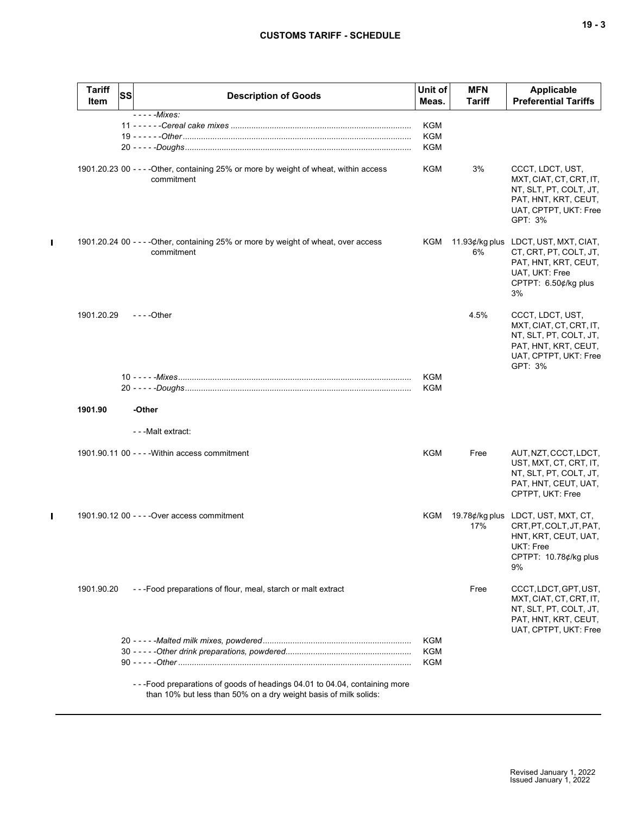| <b>Tariff</b><br>Item | SS | <b>Description of Goods</b>                                                                                                                   | Unit of<br>Meas.                       | <b>MFN</b><br>Tariff | <b>Applicable</b><br><b>Preferential Tariffs</b>                                                                                       |
|-----------------------|----|-----------------------------------------------------------------------------------------------------------------------------------------------|----------------------------------------|----------------------|----------------------------------------------------------------------------------------------------------------------------------------|
|                       |    | $-- -$ - $Mixes$ :                                                                                                                            | KGM<br>KGM<br>KGM                      |                      |                                                                                                                                        |
|                       |    | 1901.20.23 00 - - - - Other, containing 25% or more by weight of wheat, within access<br>commitment                                           | KGM                                    | 3%                   | CCCT, LDCT, UST,<br>MXT, CIAT, CT, CRT, IT,<br>NT, SLT, PT, COLT, JT,<br>PAT, HNT, KRT, CEUT,<br>UAT, CPTPT, UKT: Free<br>GPT: 3%      |
|                       |    | 1901.20.24 00 - - - - Other, containing 25% or more by weight of wheat, over access<br>commitment                                             | KGM                                    | 6%                   | 11.93¢/kg plus LDCT, UST, MXT, CIAT,<br>CT, CRT, PT, COLT, JT,<br>PAT, HNT, KRT, CEUT,<br>UAT, UKT: Free<br>CPTPT: 6.50¢/kg plus<br>3% |
| 1901.20.29            |    | $- - -$ Other                                                                                                                                 |                                        | 4.5%                 | CCCT, LDCT, UST,<br>MXT, CIAT, CT, CRT, IT,<br>NT, SLT, PT, COLT, JT,<br>PAT, HNT, KRT, CEUT,<br>UAT, CPTPT, UKT: Free<br>GPT: 3%      |
|                       |    |                                                                                                                                               | KGM<br>KGM                             |                      |                                                                                                                                        |
| 1901.90               |    | -Other                                                                                                                                        |                                        |                      |                                                                                                                                        |
|                       |    | - - - Malt extract:                                                                                                                           |                                        |                      |                                                                                                                                        |
|                       |    | 1901.90.11 00 - - - - Within access commitment                                                                                                | <b>KGM</b>                             | Free                 | AUT, NZT, CCCT, LDCT,<br>UST, MXT, CT, CRT, IT,<br>NT, SLT, PT, COLT, JT,<br>PAT, HNT, CEUT, UAT,<br>CPTPT, UKT: Free                  |
|                       |    | 1901.90.12 00 - - - - Over access commitment                                                                                                  | KGM                                    | 17%                  | 19.78¢/kg plus LDCT, UST, MXT, CT,<br>CRT, PT, COLT, JT, PAT,<br>HNT, KRT, CEUT, UAT,<br>UKT: Free<br>CPTPT: 10.78¢/kg plus<br>9%      |
| 1901.90.20            |    | ---Food preparations of flour, meal, starch or malt extract                                                                                   |                                        | Free                 | CCCT, LDCT, GPT, UST,<br>MXT, CIAT, CT, CRT, IT,<br>NT, SLT, PT, COLT, JT,<br>PAT, HNT, KRT, CEUT,<br>UAT, CPTPT, UKT: Free            |
|                       |    |                                                                                                                                               | <b>KGM</b><br><b>KGM</b><br><b>KGM</b> |                      |                                                                                                                                        |
|                       |    | ---Food preparations of goods of headings 04.01 to 04.04, containing more<br>than 10% but less than 50% on a dry weight basis of milk solids: |                                        |                      |                                                                                                                                        |

 $\blacksquare$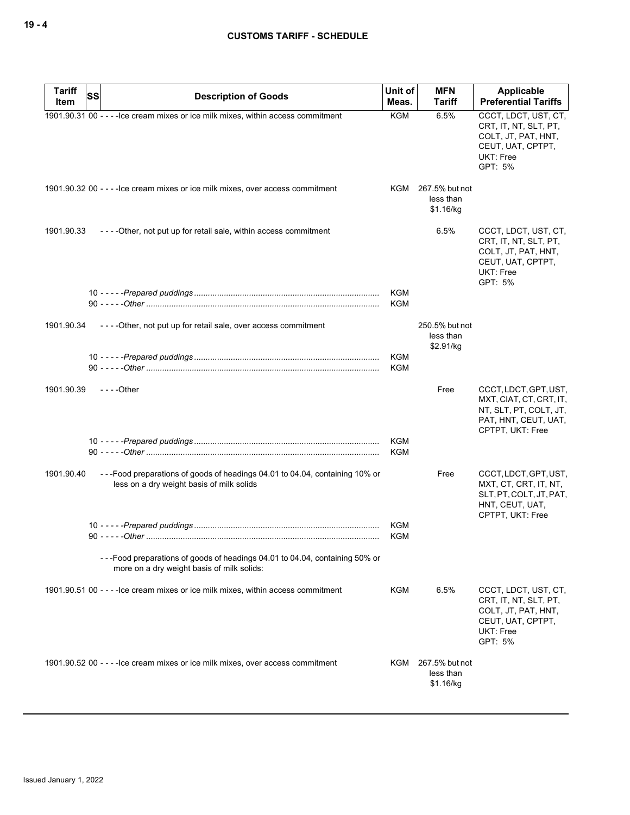| <b>Tariff</b><br>Item | SS<br><b>Description of Goods</b>                                                                                        | Unit of<br>Meas.         | <b>MFN</b><br><b>Tariff</b>                  | Applicable<br><b>Preferential Tariffs</b>                                                                              |
|-----------------------|--------------------------------------------------------------------------------------------------------------------------|--------------------------|----------------------------------------------|------------------------------------------------------------------------------------------------------------------------|
|                       | 1901.90.31 00 - - - - Ice cream mixes or ice milk mixes, within access commitment                                        | <b>KGM</b>               | 6.5%                                         | CCCT, LDCT, UST, CT,<br>CRT, IT, NT, SLT, PT,<br>COLT, JT, PAT, HNT,<br>CEUT, UAT, CPTPT,<br>UKT: Free<br>GPT: 5%      |
|                       | 1901.90.32 00 - - - - lce cream mixes or ice milk mixes, over access commitment                                          |                          | KGM 267.5% but not<br>less than<br>\$1.16/kg |                                                                                                                        |
| 1901.90.33            | ----Other, not put up for retail sale, within access commitment                                                          |                          | 6.5%                                         | CCCT, LDCT, UST, CT,<br>CRT, IT, NT, SLT, PT,<br>COLT, JT, PAT, HNT,<br>CEUT, UAT, CPTPT,<br>UKT: Free<br>GPT: 5%      |
|                       |                                                                                                                          | <b>KGM</b><br><b>KGM</b> |                                              |                                                                                                                        |
| 1901.90.34            | ----Other, not put up for retail sale, over access commitment                                                            |                          | 250.5% but not<br>less than<br>\$2.91/kg     |                                                                                                                        |
|                       |                                                                                                                          | <b>KGM</b><br><b>KGM</b> |                                              |                                                                                                                        |
| 1901.90.39            | $--$ Other                                                                                                               |                          | Free                                         | CCCT, LDCT, GPT, UST,<br>MXT, CIAT, CT, CRT, IT,<br>NT, SLT, PT, COLT, JT,<br>PAT, HNT, CEUT, UAT,<br>CPTPT, UKT: Free |
|                       |                                                                                                                          | <b>KGM</b><br><b>KGM</b> |                                              |                                                                                                                        |
| 1901.90.40            | ---Food preparations of goods of headings 04.01 to 04.04, containing 10% or<br>less on a dry weight basis of milk solids |                          | Free                                         | CCCT, LDCT, GPT, UST,<br>MXT, CT, CRT, IT, NT,<br>SLT, PT, COLT, JT, PAT,<br>HNT, CEUT, UAT,<br>CPTPT, UKT: Free       |
|                       |                                                                                                                          | <b>KGM</b><br><b>KGM</b> |                                              |                                                                                                                        |
|                       | --Food preparations of goods of headings 04.01 to 04.04, containing 50% or<br>more on a dry weight basis of milk solids: |                          |                                              |                                                                                                                        |
|                       | 1901.90.51 00 - - - - lce cream mixes or ice milk mixes, within access commitment                                        | KGM                      | 6.5%                                         | CCCT, LDCT, UST, CT,<br>CRT, IT, NT, SLT, PT,<br>COLT, JT, PAT, HNT,<br>CEUT, UAT, CPTPT,<br>UKT: Free<br>GPT: 5%      |
|                       | 1901.90.52 00 - - - - lce cream mixes or ice milk mixes, over access commitment                                          |                          | KGM 267.5% but not<br>less than<br>\$1.16/kg |                                                                                                                        |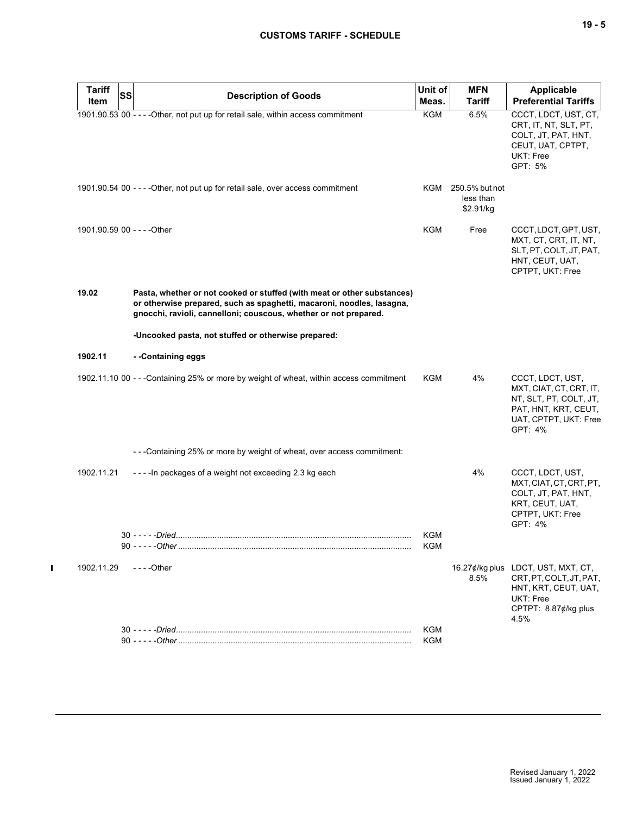| <b>Tariff</b><br>Item | <b>SS</b><br><b>Description of Goods</b>                                                                                                                                                                             | Unit of<br>Meas.  | <b>MFN</b><br><b>Tariff</b>                  | Applicable<br><b>Preferential Tariffs</b>                                                                                          |
|-----------------------|----------------------------------------------------------------------------------------------------------------------------------------------------------------------------------------------------------------------|-------------------|----------------------------------------------|------------------------------------------------------------------------------------------------------------------------------------|
|                       | 1901.90.53 00 - - - - Other, not put up for retail sale, within access commitment                                                                                                                                    | <b>KGM</b>        | 6.5%                                         | CCCT, LDCT, UST, CT,<br>CRT, IT, NT, SLT, PT,<br>COLT, JT, PAT, HNT,<br>CEUT, UAT, CPTPT,<br>UKT: Free<br>GPT: 5%                  |
|                       | 1901.90.54 00 - - - - Other, not put up for retail sale, over access commitment                                                                                                                                      |                   | KGM 250.5% but not<br>less than<br>\$2.91/kg |                                                                                                                                    |
|                       | 1901.90.59 00 - - - - Other                                                                                                                                                                                          | KGM               | Free                                         | CCCT, LDCT, GPT, UST,<br>MXT, CT, CRT, IT, NT,<br>SLT, PT, COLT, JT, PAT,<br>HNT, CEUT, UAT,<br>CPTPT, UKT: Free                   |
| 19.02                 | Pasta, whether or not cooked or stuffed (with meat or other substances)<br>or otherwise prepared, such as spaghetti, macaroni, noodles, lasagna,<br>gnocchi, ravioli, cannelloni; couscous, whether or not prepared. |                   |                                              |                                                                                                                                    |
|                       | -Uncooked pasta, not stuffed or otherwise prepared:                                                                                                                                                                  |                   |                                              |                                                                                                                                    |
| 1902.11               | - -Containing eggs                                                                                                                                                                                                   |                   |                                              |                                                                                                                                    |
|                       | 1902.11.10 00 - - - Containing 25% or more by weight of wheat, within access commitment                                                                                                                              | KGM               | 4%                                           | CCCT, LDCT, UST,<br>MXT, CIAT, CT, CRT, IT,<br>NT, SLT, PT, COLT, JT,<br>PAT, HNT, KRT, CEUT,<br>UAT, CPTPT, UKT: Free<br>GPT: 4%  |
|                       | - - - Containing 25% or more by weight of wheat, over access commitment:                                                                                                                                             |                   |                                              |                                                                                                                                    |
| 1902.11.21            | ----In packages of a weight not exceeding 2.3 kg each                                                                                                                                                                |                   | 4%                                           | CCCT, LDCT, UST,<br>MXT, CIAT, CT, CRT, PT,<br>COLT, JT, PAT, HNT,<br>KRT, CEUT, UAT,<br>CPTPT, UKT: Free<br>GPT: 4%               |
|                       | 90 - - - - - - Other                                                                                                                                                                                                 | KGM<br><b>KGM</b> |                                              |                                                                                                                                    |
| 1902.11.29            | $--$ Other                                                                                                                                                                                                           |                   | 8.5%                                         | 16.27¢/kg plus LDCT, UST, MXT, CT,<br>CRT, PT, COLT, JT, PAT,<br>HNT, KRT, CEUT, UAT,<br>UKT: Free<br>CPTPT: 8.87¢/kg plus<br>4.5% |
|                       |                                                                                                                                                                                                                      | <b>KGM</b><br>KGM |                                              |                                                                                                                                    |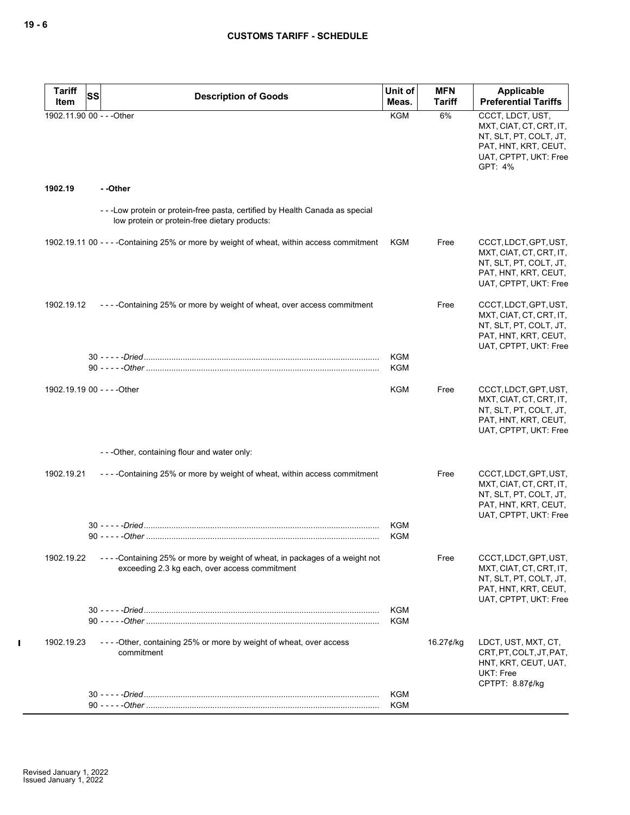| Tariff<br>Item | SS<br><b>Description of Goods</b>                                                                                               | Unit of<br>Meas. | <b>MFN</b><br><b>Tariff</b> | <b>Applicable</b><br><b>Preferential Tariffs</b>                                                                                  |
|----------------|---------------------------------------------------------------------------------------------------------------------------------|------------------|-----------------------------|-----------------------------------------------------------------------------------------------------------------------------------|
|                | 1902.11.90 00 - - - Other                                                                                                       | <b>KGM</b>       | 6%                          | CCCT, LDCT, UST,<br>MXT, CIAT, CT, CRT, IT,<br>NT, SLT, PT, COLT, JT,<br>PAT, HNT, KRT, CEUT,<br>UAT, CPTPT, UKT: Free<br>GPT: 4% |
| 1902.19        | - -Other                                                                                                                        |                  |                             |                                                                                                                                   |
|                | - - - Low protein or protein-free pasta, certified by Health Canada as special<br>low protein or protein-free dietary products: |                  |                             |                                                                                                                                   |
|                | 1902.19.11 00 - - - - Containing 25% or more by weight of wheat, within access commitment                                       | KGM              | Free                        | CCCT, LDCT, GPT, UST,<br>MXT, CIAT, CT, CRT, IT,<br>NT, SLT, PT, COLT, JT,<br>PAT, HNT, KRT, CEUT,<br>UAT, CPTPT, UKT: Free       |
| 1902.19.12     | ----Containing 25% or more by weight of wheat, over access commitment                                                           |                  | Free                        | CCCT, LDCT, GPT, UST,<br>MXT, CIAT, CT, CRT, IT,<br>NT, SLT, PT, COLT, JT,<br>PAT, HNT, KRT, CEUT,<br>UAT, CPTPT, UKT: Free       |
|                |                                                                                                                                 | KGM<br>KGM       |                             |                                                                                                                                   |
|                | 1902.19.19 00 - - - - Other                                                                                                     | KGM              | Free                        | CCCT, LDCT, GPT, UST,<br>MXT, CIAT, CT, CRT, IT,<br>NT, SLT, PT, COLT, JT,<br>PAT, HNT, KRT, CEUT,<br>UAT, CPTPT, UKT: Free       |
|                | ---Other, containing flour and water only:                                                                                      |                  |                             |                                                                                                                                   |
| 1902.19.21     | ----Containing 25% or more by weight of wheat, within access commitment                                                         |                  | Free                        | CCCT, LDCT, GPT, UST,<br>MXT, CIAT, CT, CRT, IT,<br>NT, SLT, PT, COLT, JT,<br>PAT, HNT, KRT, CEUT,<br>UAT, CPTPT, UKT: Free       |
|                |                                                                                                                                 | KGM<br>KGM       |                             |                                                                                                                                   |
| 1902.19.22     | ----Containing 25% or more by weight of wheat, in packages of a weight not<br>exceeding 2.3 kg each, over access commitment     |                  | Free                        | CCCT, LDCT, GPT, UST,<br>MXT, CIAT, CT, CRT, IT,<br>NT, SLT, PT, COLT, JT,<br>PAT, HNT, KRT, CEUT,<br>UAT, CPTPT, UKT: Free       |
|                |                                                                                                                                 | KGM              |                             |                                                                                                                                   |
| 1902.19.23     | ----Other, containing 25% or more by weight of wheat, over access<br>commitment                                                 | KGM              | 16.27 $\notin$ /kg          | LDCT, UST, MXT, CT,<br>CRT, PT, COLT, JT, PAT,<br>HNT, KRT, CEUT, UAT,<br>UKT: Free<br>CPTPT: 8.87¢/kg                            |
|                |                                                                                                                                 | KGM<br>KGM       |                             |                                                                                                                                   |
|                |                                                                                                                                 |                  |                             |                                                                                                                                   |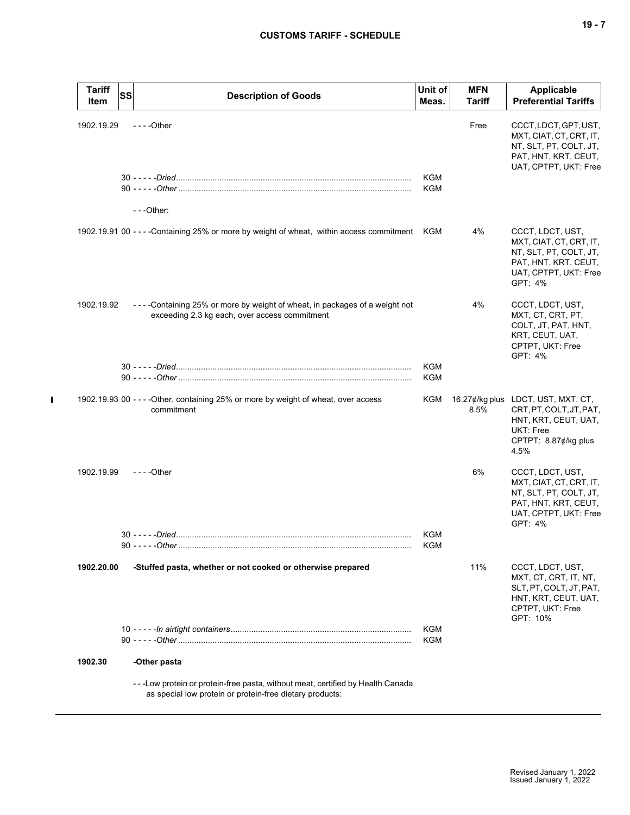| <b>Tariff</b><br>Item | ssl<br><b>Description of Goods</b>                                                                                                         | Unit of<br>Meas.  | <b>MFN</b><br>Tariff | Applicable<br><b>Preferential Tariffs</b>                                                                                          |
|-----------------------|--------------------------------------------------------------------------------------------------------------------------------------------|-------------------|----------------------|------------------------------------------------------------------------------------------------------------------------------------|
| 1902.19.29            | $--$ Other                                                                                                                                 |                   | Free                 | CCCT, LDCT, GPT, UST,<br>MXT, CIAT, CT, CRT, IT,<br>NT, SLT, PT, COLT, JT,<br>PAT, HNT, KRT, CEUT,<br>UAT, CPTPT, UKT: Free        |
|                       | $- -$ Other:                                                                                                                               | KGM<br>KGM        |                      |                                                                                                                                    |
|                       | 1902.19.91 00 - - - - Containing 25% or more by weight of wheat, within access commitment KGM                                              |                   | 4%                   | CCCT, LDCT, UST,<br>MXT, CIAT, CT, CRT, IT,<br>NT, SLT, PT, COLT, JT,<br>PAT, HNT, KRT, CEUT,<br>UAT, CPTPT, UKT: Free<br>GPT: 4%  |
| 1902.19.92            | ----Containing 25% or more by weight of wheat, in packages of a weight not<br>exceeding 2.3 kg each, over access commitment                |                   | 4%                   | CCCT, LDCT, UST,<br>MXT, CT, CRT, PT,<br>COLT, JT, PAT, HNT,<br>KRT, CEUT, UAT,<br>CPTPT, UKT: Free<br>GPT: 4%                     |
|                       |                                                                                                                                            | <b>KGM</b><br>KGM |                      |                                                                                                                                    |
|                       | 1902.19.93 00 - - - - Other, containing 25% or more by weight of wheat, over access<br>commitment                                          | KGM               | 8.5%                 | 16.27¢/kg plus LDCT, UST, MXT, CT,<br>CRT, PT, COLT, JT, PAT,<br>HNT, KRT, CEUT, UAT,<br>UKT: Free<br>CPTPT: 8.87¢/kg plus<br>4.5% |
| 1902.19.99            | $--$ Other                                                                                                                                 |                   | 6%                   | CCCT, LDCT, UST,<br>MXT, CIAT, CT, CRT, IT,<br>NT, SLT, PT, COLT, JT,<br>PAT, HNT, KRT, CEUT,<br>UAT, CPTPT, UKT: Free<br>GPT: 4%  |
|                       |                                                                                                                                            | KGM<br>KGM        |                      |                                                                                                                                    |
| 1902.20.00            | -Stuffed pasta, whether or not cooked or otherwise prepared                                                                                |                   | 11%                  | CCCT, LDCT, UST,<br>MXT, CT, CRT, IT, NT,<br>SLT, PT, COLT, JT, PAT,<br>HNT, KRT, CEUT, UAT,<br>CPTPT, UKT: Free<br>GPT: 10%       |
|                       |                                                                                                                                            | KGM<br>KGM        |                      |                                                                                                                                    |
| 1902.30               | -Other pasta                                                                                                                               |                   |                      |                                                                                                                                    |
|                       | ---Low protein or protein-free pasta, without meat, certified by Health Canada<br>as special low protein or protein-free dietary products: |                   |                      |                                                                                                                                    |

 $\blacksquare$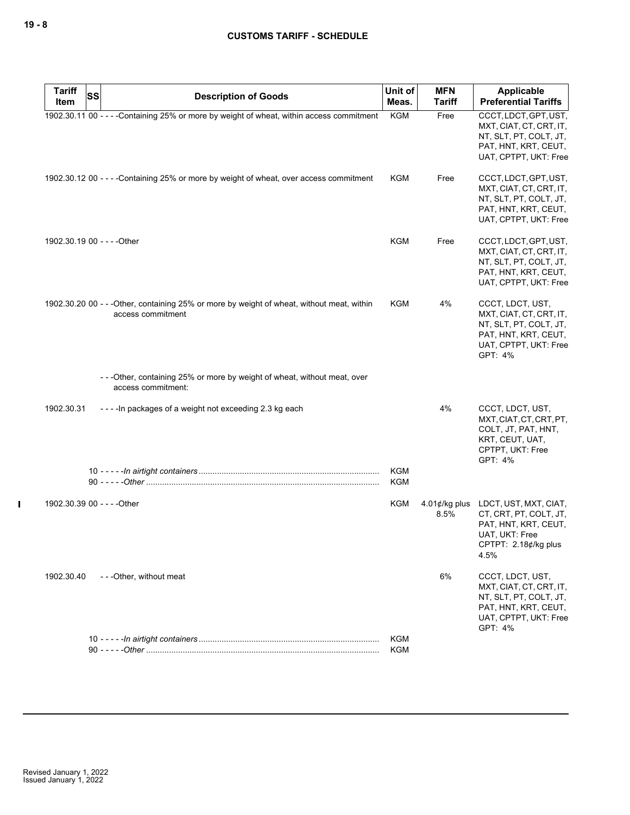| <b>Tariff</b><br><b>SS</b>  |                                                                                                                 | Unit of                  | <b>MFN</b>                | Applicable                                                                                                                        |
|-----------------------------|-----------------------------------------------------------------------------------------------------------------|--------------------------|---------------------------|-----------------------------------------------------------------------------------------------------------------------------------|
| Item                        | <b>Description of Goods</b>                                                                                     | Meas.                    | <b>Tariff</b>             | <b>Preferential Tariffs</b>                                                                                                       |
|                             | 1902.30.11 00 - - - - Containing 25% or more by weight of wheat, within access commitment                       | <b>KGM</b>               | Free                      | CCCT, LDCT, GPT, UST,<br>MXT, CIAT, CT, CRT, IT,<br>NT, SLT, PT, COLT, JT,<br>PAT, HNT, KRT, CEUT,<br>UAT, CPTPT, UKT: Free       |
|                             | 1902.30.12 00 - - - - Containing 25% or more by weight of wheat, over access commitment                         | <b>KGM</b>               | Free                      | CCCT, LDCT, GPT, UST,<br>MXT, CIAT, CT, CRT, IT,<br>NT, SLT, PT, COLT, JT,<br>PAT, HNT, KRT, CEUT,<br>UAT, CPTPT, UKT: Free       |
| 1902.30.19 00 - - - - Other |                                                                                                                 | <b>KGM</b>               | Free                      | CCCT, LDCT, GPT, UST,<br>MXT, CIAT, CT, CRT, IT,<br>NT, SLT, PT, COLT, JT,<br>PAT, HNT, KRT, CEUT,<br>UAT, CPTPT, UKT: Free       |
|                             | 1902.30.20 00 - - - Other, containing 25% or more by weight of wheat, without meat, within<br>access commitment | KGM                      | 4%                        | CCCT, LDCT, UST,<br>MXT, CIAT, CT, CRT, IT,<br>NT, SLT, PT, COLT, JT,<br>PAT, HNT, KRT, CEUT,<br>UAT, CPTPT, UKT: Free<br>GPT: 4% |
|                             | -- - Other, containing 25% or more by weight of wheat, without meat, over<br>access commitment:                 |                          |                           |                                                                                                                                   |
| 1902.30.31                  | ---- In packages of a weight not exceeding 2.3 kg each                                                          |                          | 4%                        | CCCT, LDCT, UST,<br>MXT, CIAT, CT, CRT, PT,<br>COLT, JT, PAT, HNT,<br>KRT, CEUT, UAT,<br>CPTPT, UKT: Free<br>GPT: 4%              |
|                             |                                                                                                                 | <b>KGM</b><br><b>KGM</b> |                           |                                                                                                                                   |
| 1902.30.39 00 - - - - Other |                                                                                                                 | <b>KGM</b>               | 4.01 $¢$ /kg plus<br>8.5% | LDCT, UST, MXT, CIAT,<br>CT, CRT, PT, COLT, JT,<br>PAT, HNT, KRT, CEUT,<br>UAT, UKT: Free<br>CPTPT: 2.18¢/kg plus<br>4.5%         |
| 1902.30.40                  | - - - Other, without meat                                                                                       |                          | 6%                        | CCCT, LDCT, UST,<br>MXT, CIAT, CT, CRT, IT,<br>NT, SLT, PT, COLT, JT,<br>PAT, HNT, KRT, CEUT,<br>UAT, CPTPT, UKT: Free<br>GPT: 4% |
|                             |                                                                                                                 | <b>KGM</b><br><b>KGM</b> |                           |                                                                                                                                   |
|                             |                                                                                                                 |                          |                           |                                                                                                                                   |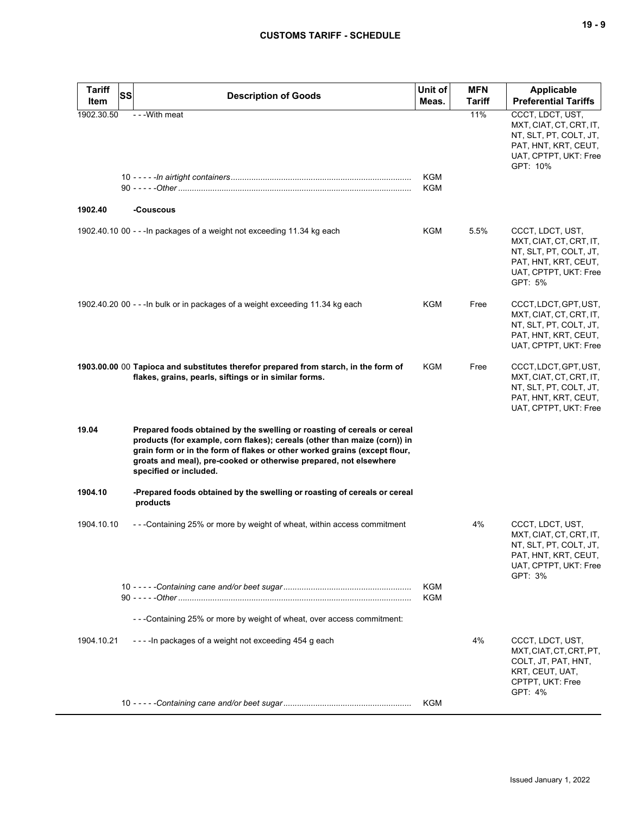| <b>Tariff</b><br>Item | <b>SS</b> | <b>Description of Goods</b>                                                                                                                                                                                                                                                                                                       | Unit of<br>Meas. | <b>MFN</b><br><b>Tariff</b> | <b>Applicable</b><br><b>Preferential Tariffs</b>                                                                                   |
|-----------------------|-----------|-----------------------------------------------------------------------------------------------------------------------------------------------------------------------------------------------------------------------------------------------------------------------------------------------------------------------------------|------------------|-----------------------------|------------------------------------------------------------------------------------------------------------------------------------|
| 1902.30.50            |           | - - - With meat                                                                                                                                                                                                                                                                                                                   | KGM              | 11%                         | CCCT, LDCT, UST,<br>MXT, CIAT, CT, CRT, IT,<br>NT, SLT, PT, COLT, JT,<br>PAT, HNT, KRT, CEUT,<br>UAT, CPTPT, UKT: Free<br>GPT: 10% |
| 1902.40               |           | -Couscous                                                                                                                                                                                                                                                                                                                         | KGM              |                             |                                                                                                                                    |
|                       |           | 1902.40.10 00 - - - In packages of a weight not exceeding 11.34 kg each                                                                                                                                                                                                                                                           | KGM              | 5.5%                        | CCCT, LDCT, UST,<br>MXT, CIAT, CT, CRT, IT,<br>NT, SLT, PT, COLT, JT,<br>PAT, HNT, KRT, CEUT,<br>UAT, CPTPT, UKT: Free<br>GPT: 5%  |
|                       |           | 1902.40.20 00 - - - In bulk or in packages of a weight exceeding 11.34 kg each                                                                                                                                                                                                                                                    | KGM              | Free                        | CCCT, LDCT, GPT, UST,<br>MXT, CIAT, CT, CRT, IT,<br>NT, SLT, PT, COLT, JT,<br>PAT, HNT, KRT, CEUT,<br>UAT, CPTPT, UKT: Free        |
|                       |           | 1903.00.00 00 Tapioca and substitutes therefor prepared from starch, in the form of<br>flakes, grains, pearls, siftings or in similar forms.                                                                                                                                                                                      | KGM              | Free                        | CCCT, LDCT, GPT, UST,<br>MXT, CIAT, CT, CRT, IT,<br>NT, SLT, PT, COLT, JT,<br>PAT, HNT, KRT, CEUT,<br>UAT, CPTPT, UKT: Free        |
| 19.04                 |           | Prepared foods obtained by the swelling or roasting of cereals or cereal<br>products (for example, corn flakes); cereals (other than maize (corn)) in<br>grain form or in the form of flakes or other worked grains (except flour,<br>groats and meal), pre-cooked or otherwise prepared, not elsewhere<br>specified or included. |                  |                             |                                                                                                                                    |
| 1904.10               |           | -Prepared foods obtained by the swelling or roasting of cereals or cereal<br>products                                                                                                                                                                                                                                             |                  |                             |                                                                                                                                    |
| 1904.10.10            |           | - - - Containing 25% or more by weight of wheat, within access commitment                                                                                                                                                                                                                                                         |                  | 4%                          | CCCT, LDCT, UST,<br>MXT, CIAT, CT, CRT, IT,<br>NT, SLT, PT, COLT, JT,<br>PAT, HNT, KRT, CEUT,<br>UAT, CPTPT, UKT: Free<br>GPT: 3%  |
|                       |           |                                                                                                                                                                                                                                                                                                                                   | KGM<br>KGM       |                             |                                                                                                                                    |
|                       |           | - - - Containing 25% or more by weight of wheat, over access commitment:                                                                                                                                                                                                                                                          |                  |                             |                                                                                                                                    |
| 1904.10.21            |           | ----In packages of a weight not exceeding 454 g each                                                                                                                                                                                                                                                                              |                  | 4%                          | CCCT, LDCT, UST,<br>MXT, CIAT, CT, CRT, PT,<br>COLT, JT, PAT, HNT,<br>KRT, CEUT, UAT,<br>CPTPT, UKT: Free<br>GPT: 4%               |
|                       |           |                                                                                                                                                                                                                                                                                                                                   | KGM              |                             |                                                                                                                                    |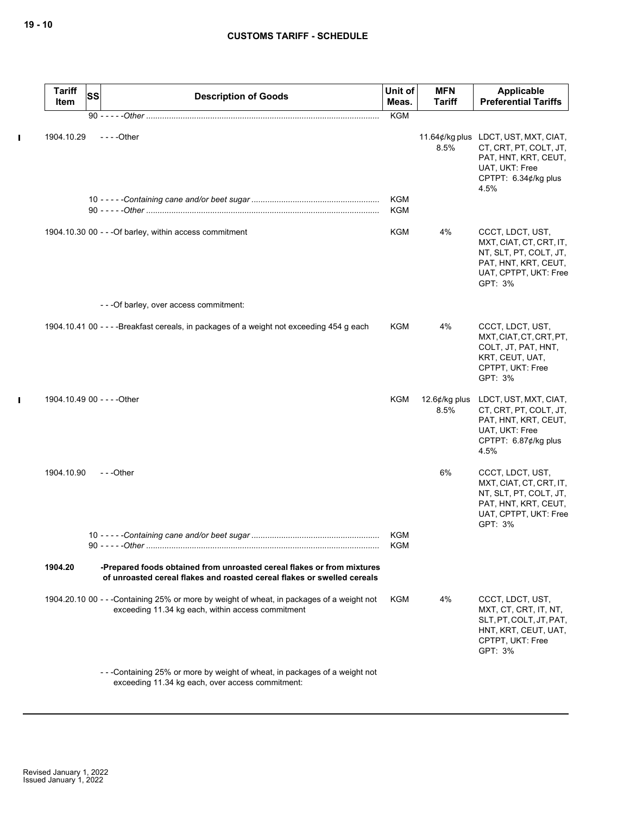$\mathbf I$ 

 $\mathbf{l}$ 

| <b>Tariff</b><br>Item       | <b>SS</b> | <b>Description of Goods</b>                                                                                                                       | Unit of<br>Meas.  | <b>MFN</b><br><b>Tariff</b> | Applicable<br><b>Preferential Tariffs</b>                                                                                                |
|-----------------------------|-----------|---------------------------------------------------------------------------------------------------------------------------------------------------|-------------------|-----------------------------|------------------------------------------------------------------------------------------------------------------------------------------|
|                             |           | 90 - - - - - Other ………………………………………………………………………………………                                                                                              | <b>KGM</b>        |                             |                                                                                                                                          |
| 1904.10.29                  |           | $--$ Other                                                                                                                                        |                   | 8.5%                        | 11.64¢/kg plus LDCT, UST, MXT, CIAT,<br>CT, CRT, PT, COLT, JT,<br>PAT, HNT, KRT, CEUT,<br>UAT, UKT: Free<br>CPTPT: 6.34¢/kg plus<br>4.5% |
|                             |           |                                                                                                                                                   | <b>KGM</b><br>KGM |                             |                                                                                                                                          |
|                             |           | 1904.10.30 00 - - - Of barley, within access commitment                                                                                           | KGM               | 4%                          | CCCT, LDCT, UST,<br>MXT, CIAT, CT, CRT, IT,<br>NT, SLT, PT, COLT, JT,<br>PAT, HNT, KRT, CEUT,<br>UAT, CPTPT, UKT: Free<br>GPT: 3%        |
|                             |           | - - - Of barley, over access commitment:                                                                                                          |                   |                             |                                                                                                                                          |
|                             |           | 1904.10.41 00 - - - - Breakfast cereals, in packages of a weight not exceeding 454 g each                                                         | KGM               | 4%                          | CCCT, LDCT, UST,<br>MXT, CIAT, CT, CRT, PT,<br>COLT, JT, PAT, HNT,<br>KRT, CEUT, UAT,<br>CPTPT, UKT: Free<br>GPT: 3%                     |
| 1904.10.49 00 - - - - Other |           |                                                                                                                                                   | KGM               | 12.6 $¢$ /kg plus<br>8.5%   | LDCT, UST, MXT, CIAT,<br>CT, CRT, PT, COLT, JT,<br>PAT, HNT, KRT, CEUT,<br>UAT, UKT: Free<br>CPTPT: 6.87¢/kg plus<br>4.5%                |
| 1904.10.90                  |           | ---Other                                                                                                                                          |                   | 6%                          | CCCT, LDCT, UST,<br>MXT, CIAT, CT, CRT, IT,<br>NT, SLT, PT, COLT, JT,<br>PAT, HNT, KRT, CEUT,<br>UAT, CPTPT, UKT: Free<br>GPT: 3%        |
|                             |           | 90 - - - - - - Other                                                                                                                              | KGM<br><b>KGM</b> |                             |                                                                                                                                          |
| 1904.20                     |           | -Prepared foods obtained from unroasted cereal flakes or from mixtures<br>of unroasted cereal flakes and roasted cereal flakes or swelled cereals |                   |                             |                                                                                                                                          |
|                             |           | 1904.20.10 00 - - -Containing 25% or more by weight of wheat, in packages of a weight not<br>exceeding 11.34 kg each, within access commitment    | KGM               | 4%                          | CCCT, LDCT, UST,<br>MXT, CT, CRT, IT, NT,<br>SLT, PT, COLT, JT, PAT,<br>HNT, KRT, CEUT, UAT,<br>CPTPT, UKT: Free<br>GPT: 3%              |
|                             |           | ---Containing 25% or more by weight of wheat, in packages of a weight not<br>exceeding 11.34 kg each, over access commitment:                     |                   |                             |                                                                                                                                          |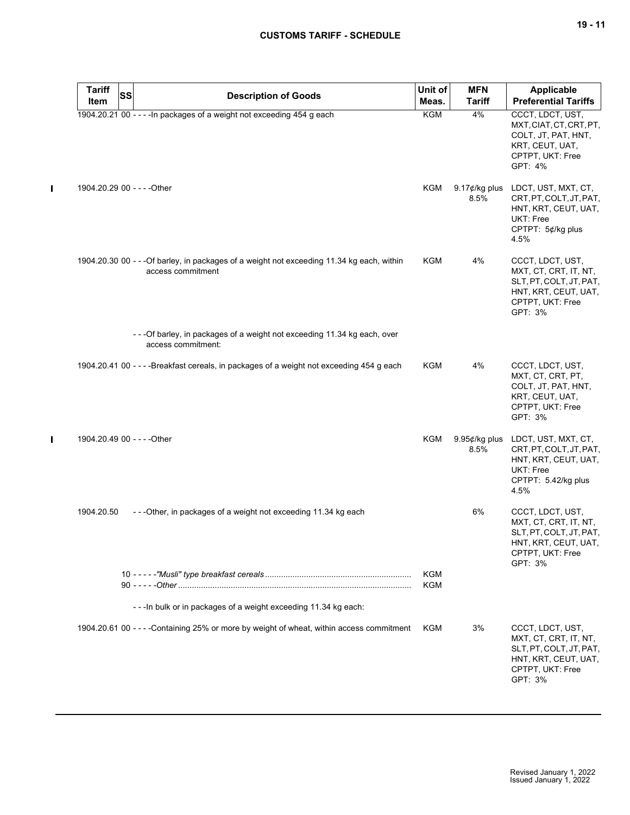|              | <b>Tariff</b><br>Item       | <b>SS</b> | <b>Description of Goods</b>                                                                                     | Unit of<br>Meas.  | <b>MFN</b><br><b>Tariff</b>     | <b>Applicable</b><br><b>Preferential Tariffs</b>                                                                            |
|--------------|-----------------------------|-----------|-----------------------------------------------------------------------------------------------------------------|-------------------|---------------------------------|-----------------------------------------------------------------------------------------------------------------------------|
|              |                             |           | 1904.20.21 00 - - - - In packages of a weight not exceeding 454 g each                                          | <b>KGM</b>        | 4%                              | CCCT, LDCT, UST,<br>MXT, CIAT, CT, CRT, PT,<br>COLT, JT, PAT, HNT,<br>KRT, CEUT, UAT,<br>CPTPT, UKT: Free<br>GPT: 4%        |
| $\mathbf{I}$ | 1904.20.29 00 - - - - Other |           |                                                                                                                 | KGM               | 9.17 $\not\in$ /kg plus<br>8.5% | LDCT, UST, MXT, CT,<br>CRT, PT, COLT, JT, PAT,<br>HNT, KRT, CEUT, UAT,<br><b>UKT: Free</b><br>CPTPT: 5¢/kg plus<br>4.5%     |
|              |                             |           | 1904.20.30 00 - - - Of barley, in packages of a weight not exceeding 11.34 kg each, within<br>access commitment | KGM               | 4%                              | CCCT, LDCT, UST,<br>MXT, CT, CRT, IT, NT,<br>SLT, PT, COLT, JT, PAT,<br>HNT, KRT, CEUT, UAT,<br>CPTPT, UKT: Free<br>GPT: 3% |
|              |                             |           | - - - Of barley, in packages of a weight not exceeding 11.34 kg each, over<br>access commitment:                |                   |                                 |                                                                                                                             |
|              |                             |           | 1904.20.41 00 - - - - Breakfast cereals, in packages of a weight not exceeding 454 g each                       | KGM               | 4%                              | CCCT, LDCT, UST,<br>MXT, CT, CRT, PT,<br>COLT, JT, PAT, HNT,<br>KRT, CEUT, UAT,<br>CPTPT, UKT: Free<br>GPT: 3%              |
|              |                             |           | 1904.20.49 00 - - - - Other                                                                                     | <b>KGM</b>        | 9.95¢/kg plus<br>8.5%           | LDCT, UST, MXT, CT,<br>CRT, PT, COLT, JT, PAT,<br>HNT, KRT, CEUT, UAT,<br>UKT: Free<br>CPTPT: 5.42/kg plus<br>4.5%          |
|              | 1904.20.50                  |           | ---Other, in packages of a weight not exceeding 11.34 kg each                                                   |                   | 6%                              | CCCT, LDCT, UST,<br>MXT, CT, CRT, IT, NT,<br>SLT, PT, COLT, JT, PAT,<br>HNT, KRT, CEUT, UAT,<br>CPTPT, UKT: Free<br>GPT: 3% |
|              |                             |           |                                                                                                                 | <b>KGM</b><br>KGM |                                 |                                                                                                                             |
|              |                             |           | - - - In bulk or in packages of a weight exceeding 11.34 kg each:                                               |                   |                                 |                                                                                                                             |
|              |                             |           | 1904.20.61 00 - - - - Containing 25% or more by weight of wheat, within access commitment                       | KGM               | 3%                              | CCCT, LDCT, UST,<br>MXT, CT, CRT, IT, NT,<br>SLT, PT, COLT, JT, PAT,<br>HNT, KRT, CEUT, UAT,<br>CPTPT, UKT: Free<br>GPT: 3% |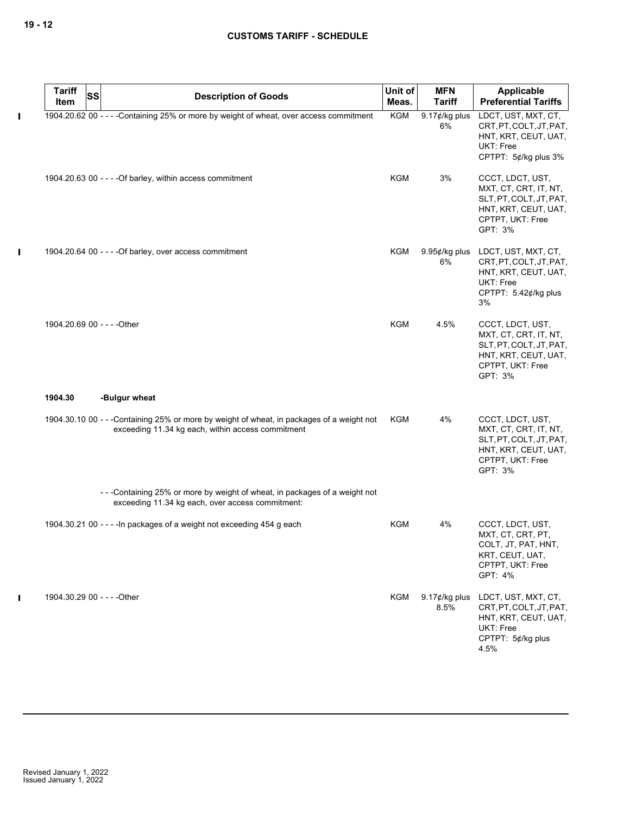|             | <b>Tariff</b><br>Item       | <b>SS</b> | <b>Description of Goods</b>                                                                                                                    | Unit of<br>Meas. | <b>MFN</b><br><b>Tariff</b>     | Applicable<br><b>Preferential Tariffs</b>                                                                                   |
|-------------|-----------------------------|-----------|------------------------------------------------------------------------------------------------------------------------------------------------|------------------|---------------------------------|-----------------------------------------------------------------------------------------------------------------------------|
| $\mathbf I$ |                             |           | 1904.20.62 00 - - - - Containing 25% or more by weight of wheat, over access commitment                                                        | <b>KGM</b>       | 9.17¢/kg plus<br>6%             | LDCT, UST, MXT, CT,<br>CRT, PT, COLT, JT, PAT,<br>HNT, KRT, CEUT, UAT,<br><b>UKT: Free</b><br>CPTPT: 5¢/kg plus 3%          |
|             |                             |           | 1904.20.63 00 - - - - Of barley, within access commitment                                                                                      | KGM              | 3%                              | CCCT, LDCT, UST,<br>MXT, CT, CRT, IT, NT,<br>SLT, PT, COLT, JT, PAT,<br>HNT, KRT, CEUT, UAT,<br>CPTPT, UKT: Free<br>GPT: 3% |
| $\mathbf I$ |                             |           | 1904.20.64 00 - - - - Of barley, over access commitment                                                                                        | <b>KGM</b>       | $9.95¢/kg$ plus<br>6%           | LDCT, UST, MXT, CT,<br>CRT, PT, COLT, JT, PAT,<br>HNT, KRT, CEUT, UAT,<br>UKT: Free<br>CPTPT: 5.42¢/kg plus<br>3%           |
|             | 1904.20.69 00 - - - - Other |           |                                                                                                                                                | <b>KGM</b>       | 4.5%                            | CCCT, LDCT, UST,<br>MXT, CT, CRT, IT, NT,<br>SLT, PT, COLT, JT, PAT,<br>HNT, KRT, CEUT, UAT,<br>CPTPT, UKT: Free<br>GPT: 3% |
|             | 1904.30                     |           | -Bulgur wheat                                                                                                                                  |                  |                                 |                                                                                                                             |
|             |                             |           | 1904.30.10 00 - - -Containing 25% or more by weight of wheat, in packages of a weight not<br>exceeding 11.34 kg each, within access commitment | KGM              | 4%                              | CCCT, LDCT, UST,<br>MXT, CT, CRT, IT, NT,<br>SLT, PT, COLT, JT, PAT,<br>HNT, KRT, CEUT, UAT,<br>CPTPT, UKT: Free<br>GPT: 3% |
|             |                             |           | -- - Containing 25% or more by weight of wheat, in packages of a weight not<br>exceeding 11.34 kg each, over access commitment:                |                  |                                 |                                                                                                                             |
|             |                             |           | 1904.30.21 00 - - - - In packages of a weight not exceeding 454 g each                                                                         | <b>KGM</b>       | 4%                              | CCCT, LDCT, UST,<br>MXT, CT, CRT, PT,<br>COLT, JT, PAT, HNT,<br>KRT, CEUT, UAT,<br>CPTPT, UKT: Free<br>GPT: 4%              |
| П           | 1904.30.29 00 - - - - Other |           |                                                                                                                                                | KGM              | 9.17 $\not\in$ /kg plus<br>8.5% | LDCT, UST, MXT, CT,<br>CRT, PT, COLT, JT, PAT,<br>HNT, KRT, CEUT, UAT,<br>UKT: Free<br>CPTPT: 5¢/kg plus<br>4.5%            |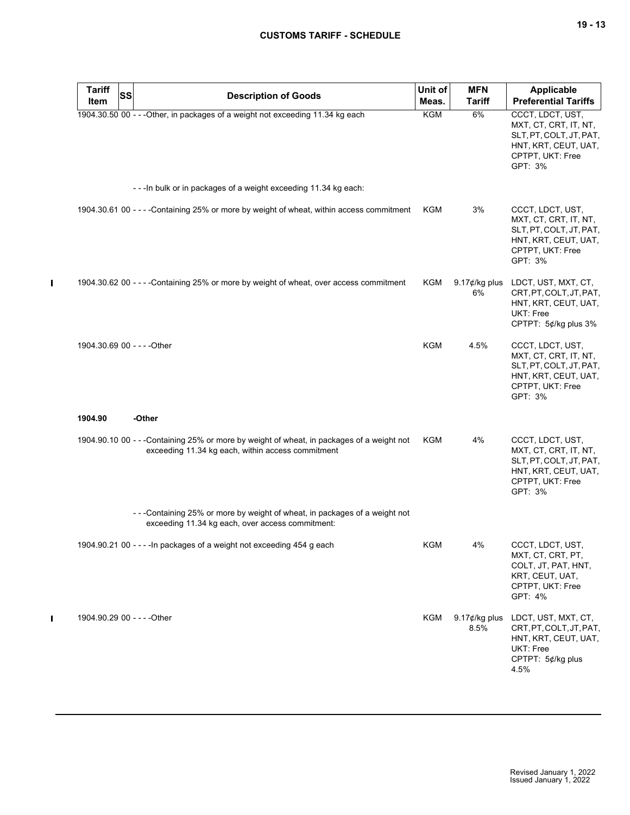| <b>Tariff</b><br>Item       | <b>SS</b> | <b>Description of Goods</b>                                                                                                                    | Unit of<br>Meas. | <b>MFN</b><br><b>Tariff</b>   | <b>Applicable</b><br><b>Preferential Tariffs</b>                                                                            |
|-----------------------------|-----------|------------------------------------------------------------------------------------------------------------------------------------------------|------------------|-------------------------------|-----------------------------------------------------------------------------------------------------------------------------|
|                             |           | 1904.30.50 00 - - - Other, in packages of a weight not exceeding 11.34 kg each                                                                 | KGM              | 6%                            | CCCT, LDCT, UST,<br>MXT, CT, CRT, IT, NT,<br>SLT, PT, COLT, JT, PAT,<br>HNT, KRT, CEUT, UAT,<br>CPTPT, UKT: Free<br>GPT: 3% |
|                             |           | --- In bulk or in packages of a weight exceeding 11.34 kg each:                                                                                |                  |                               |                                                                                                                             |
|                             |           | 1904.30.61 00 - - - - Containing 25% or more by weight of wheat, within access commitment                                                      | KGM              | 3%                            | CCCT, LDCT, UST,<br>MXT, CT, CRT, IT, NT,<br>SLT, PT, COLT, JT, PAT,<br>HNT, KRT, CEUT, UAT,<br>CPTPT, UKT: Free<br>GPT: 3% |
|                             |           | 1904.30.62 00 - - - - Containing 25% or more by weight of wheat, over access commitment                                                        | KGM              | 9.17 $\not\in$ /kg plus<br>6% | LDCT, UST, MXT, CT,<br>CRT.PT.COLT.JT.PAT.<br>HNT, KRT, CEUT, UAT,<br>UKT: Free<br>CPTPT: 5¢/kg plus 3%                     |
| 1904.30.69 00 - - - - Other |           |                                                                                                                                                | <b>KGM</b>       | 4.5%                          | CCCT, LDCT, UST,<br>MXT, CT, CRT, IT, NT,<br>SLT, PT, COLT, JT, PAT,<br>HNT, KRT, CEUT, UAT,<br>CPTPT, UKT: Free<br>GPT: 3% |
| 1904.90                     |           | -Other                                                                                                                                         |                  |                               |                                                                                                                             |
|                             |           | 1904.90.10 00 - - -Containing 25% or more by weight of wheat, in packages of a weight not<br>exceeding 11.34 kg each, within access commitment | <b>KGM</b>       | 4%                            | CCCT, LDCT, UST,<br>MXT, CT, CRT, IT, NT,<br>SLT, PT, COLT, JT, PAT,<br>HNT, KRT, CEUT, UAT,<br>CPTPT, UKT: Free<br>GPT: 3% |
|                             |           | -- Containing 25% or more by weight of wheat, in packages of a weight not<br>exceeding 11.34 kg each, over access commitment:                  |                  |                               |                                                                                                                             |
|                             |           | 1904.90.21 00 - - - - In packages of a weight not exceeding 454 g each                                                                         | KGM              | 4%                            | CCCT, LDCT, UST,<br>MXT, CT, CRT, PT,<br>COLT, JT, PAT, HNT,<br>KRT, CEUT, UAT,<br>CPTPT, UKT: Free<br>GPT: 4%              |
| 1904.90.29 00 - - - - Other |           |                                                                                                                                                | KGM              | 9.17 $¢$ /kg plus<br>8.5%     | LDCT, UST, MXT, CT,<br>CRT, PT, COLT, JT, PAT,<br>HNT, KRT, CEUT, UAT,<br>UKT: Free<br>CPTPT: 5¢/kg plus<br>4.5%            |

 $\mathbf{I}$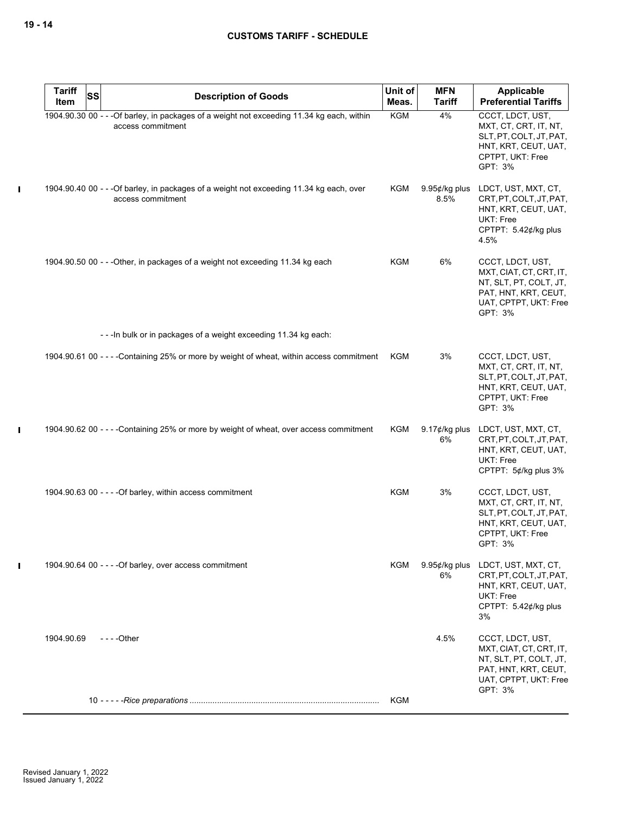$\mathbf I$ 

 $\mathbf I$ 

| <b>Tariff</b><br>Item | SS | <b>Description of Goods</b>                                                                                     | Unit of<br>Meas. | <b>MFN</b><br><b>Tariff</b> | Applicable<br><b>Preferential Tariffs</b>                                                                                         |
|-----------------------|----|-----------------------------------------------------------------------------------------------------------------|------------------|-----------------------------|-----------------------------------------------------------------------------------------------------------------------------------|
|                       |    | 1904.90.30 00 - - - Of barley, in packages of a weight not exceeding 11.34 kg each, within<br>access commitment | <b>KGM</b>       | 4%                          | CCCT, LDCT, UST,<br>MXT, CT, CRT, IT, NT,<br>SLT, PT, COLT, JT, PAT,<br>HNT, KRT, CEUT, UAT,<br>CPTPT, UKT: Free<br>GPT: 3%       |
|                       |    | 1904.90.40 00 - - - Of barley, in packages of a weight not exceeding 11.34 kg each, over<br>access commitment   | KGM              | $9.95¢/kg$ plus<br>8.5%     | LDCT, UST, MXT, CT,<br>CRT, PT, COLT, JT, PAT,<br>HNT, KRT, CEUT, UAT,<br>UKT: Free<br>CPTPT: 5.42¢/kg plus<br>4.5%               |
|                       |    | 1904.90.50 00 - - - Other, in packages of a weight not exceeding 11.34 kg each                                  | <b>KGM</b>       | 6%                          | CCCT, LDCT, UST,<br>MXT, CIAT, CT, CRT, IT,<br>NT, SLT, PT, COLT, JT,<br>PAT, HNT, KRT, CEUT,<br>UAT, CPTPT, UKT: Free<br>GPT: 3% |
|                       |    | --- In bulk or in packages of a weight exceeding 11.34 kg each:                                                 |                  |                             |                                                                                                                                   |
|                       |    | 1904.90.61 00 - - - - Containing 25% or more by weight of wheat, within access commitment                       | KGM              | 3%                          | CCCT, LDCT, UST,<br>MXT, CT, CRT, IT, NT,<br>SLT, PT, COLT, JT, PAT,<br>HNT, KRT, CEUT, UAT,<br>CPTPT, UKT: Free<br>GPT: 3%       |
|                       |    | 1904.90.62 00 - - - - Containing 25% or more by weight of wheat, over access commitment                         | KGM              | 9.17 $¢$ /kg plus<br>6%     | LDCT, UST, MXT, CT,<br>CRT, PT, COLT, JT, PAT,<br>HNT, KRT, CEUT, UAT,<br>UKT: Free<br>CPTPT: 5¢/kg plus 3%                       |
|                       |    | 1904.90.63 00 - - - - Of barley, within access commitment                                                       | <b>KGM</b>       | 3%                          | CCCT, LDCT, UST,<br>MXT, CT, CRT, IT, NT,<br>SLT, PT, COLT, JT, PAT,<br>HNT, KRT, CEUT, UAT,<br>CPTPT, UKT: Free<br>GPT: 3%       |
|                       |    | 1904.90.64 00 - - - - Of barley, over access commitment                                                         | KGM              | 9.95¢/kg plus<br>6%         | LDCT, UST, MXT, CT,<br>CRT, PT, COLT, JT, PAT,<br>HNT, KRT, CEUT, UAT,<br>UKT: Free<br>CPTPT: 5.42¢/kg plus<br>3%                 |
| 1904.90.69            |    | $--$ - Other                                                                                                    |                  | 4.5%                        | CCCT, LDCT, UST,<br>MXT, CIAT, CT, CRT, IT,<br>NT, SLT, PT, COLT, JT,<br>PAT, HNT, KRT, CEUT,<br>UAT, CPTPT, UKT: Free<br>GPT: 3% |
|                       |    |                                                                                                                 | <b>KGM</b>       |                             |                                                                                                                                   |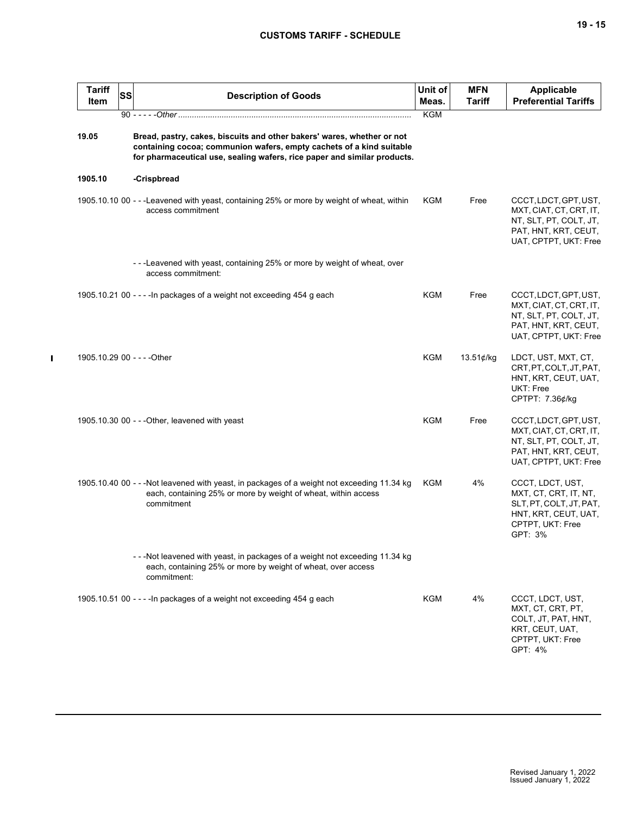| ۰.<br>× | ×<br>۰. |
|---------|---------|
|---------|---------|

| <b>Tariff</b><br>Item       | <b>SS</b> | <b>Description of Goods</b>                                                                                                                                                                                                | Unit of<br>Meas. | <b>MFN</b><br><b>Tariff</b> | <b>Applicable</b><br><b>Preferential Tariffs</b>                                                                            |
|-----------------------------|-----------|----------------------------------------------------------------------------------------------------------------------------------------------------------------------------------------------------------------------------|------------------|-----------------------------|-----------------------------------------------------------------------------------------------------------------------------|
|                             |           |                                                                                                                                                                                                                            | <b>KGM</b>       |                             |                                                                                                                             |
| 19.05                       |           | Bread, pastry, cakes, biscuits and other bakers' wares, whether or not<br>containing cocoa; communion wafers, empty cachets of a kind suitable<br>for pharmaceutical use, sealing wafers, rice paper and similar products. |                  |                             |                                                                                                                             |
| 1905.10                     |           | -Crispbread                                                                                                                                                                                                                |                  |                             |                                                                                                                             |
|                             |           | 1905.10.10 00 - - -Leavened with yeast, containing 25% or more by weight of wheat, within<br>access commitment                                                                                                             | KGM              | Free                        | CCCT, LDCT, GPT, UST,<br>MXT, CIAT, CT, CRT, IT,<br>NT, SLT, PT, COLT, JT,<br>PAT, HNT, KRT, CEUT,<br>UAT, CPTPT, UKT: Free |
|                             |           | ---Leavened with yeast, containing 25% or more by weight of wheat, over<br>access commitment:                                                                                                                              |                  |                             |                                                                                                                             |
|                             |           | 1905.10.21 00 - - - - In packages of a weight not exceeding 454 g each                                                                                                                                                     | KGM              | Free                        | CCCT, LDCT, GPT, UST,<br>MXT, CIAT, CT, CRT, IT,<br>NT, SLT, PT, COLT, JT,<br>PAT, HNT, KRT, CEUT,<br>UAT, CPTPT, UKT: Free |
| 1905.10.29 00 - - - - Other |           |                                                                                                                                                                                                                            | <b>KGM</b>       | $13.51$ ¢/kg                | LDCT, UST, MXT, CT,<br>CRT, PT, COLT, JT, PAT,<br>HNT, KRT, CEUT, UAT,<br>UKT: Free<br>CPTPT: 7.36¢/kg                      |
|                             |           | 1905.10.30 00 - - - Other, leavened with yeast                                                                                                                                                                             | KGM              | Free                        | CCCT, LDCT, GPT, UST,<br>MXT, CIAT, CT, CRT, IT,<br>NT, SLT, PT, COLT, JT,<br>PAT, HNT, KRT, CEUT,<br>UAT, CPTPT, UKT: Free |
|                             |           | 1905.10.40 00 - - - Not leavened with yeast, in packages of a weight not exceeding 11.34 kg<br>each, containing 25% or more by weight of wheat, within access<br>commitment                                                | KGM              | 4%                          | CCCT, LDCT, UST,<br>MXT, CT, CRT, IT, NT,<br>SLT, PT, COLT, JT, PAT,<br>HNT, KRT, CEUT, UAT,<br>CPTPT, UKT: Free<br>GPT: 3% |
|                             |           | ---Not leavened with yeast, in packages of a weight not exceeding 11.34 kg<br>each, containing 25% or more by weight of wheat, over access<br>commitment:                                                                  |                  |                             |                                                                                                                             |
|                             |           | 1905.10.51 00 - - - - In packages of a weight not exceeding 454 g each                                                                                                                                                     | KGM              | 4%                          | CCCT, LDCT, UST,<br>MXT, CT, CRT, PT,<br>COLT, JT, PAT, HNT,<br>KRT, CEUT, UAT,<br>CPTPT, UKT: Free<br>GPT: 4%              |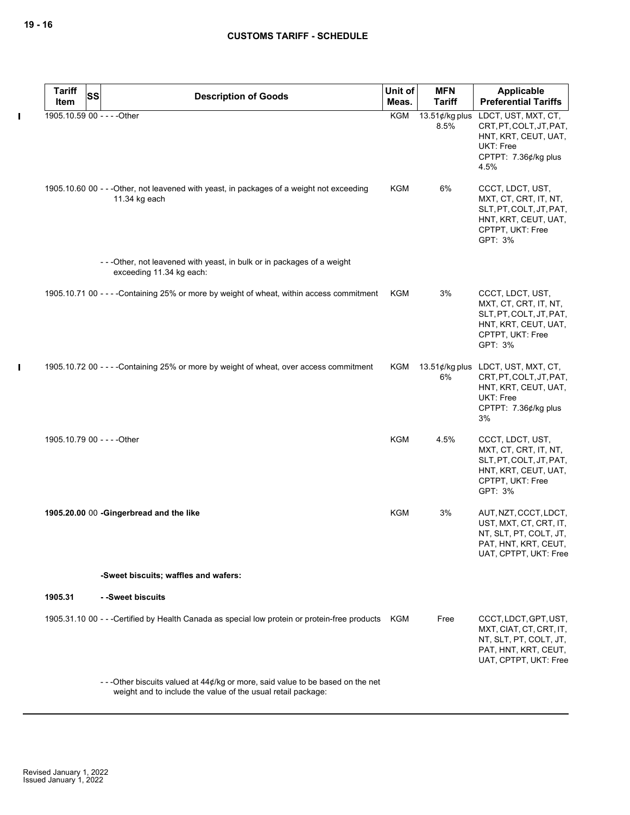$\mathbf I$ 

 $\mathbf I$ 

| <b>Tariff</b><br><b>SS</b>  | <b>Description of Goods</b>                                                                                                                      | Unit of    | <b>MFN</b>             | Applicable                                                                                                                       |
|-----------------------------|--------------------------------------------------------------------------------------------------------------------------------------------------|------------|------------------------|----------------------------------------------------------------------------------------------------------------------------------|
| Item                        |                                                                                                                                                  | Meas.      | <b>Tariff</b>          | <b>Preferential Tariffs</b>                                                                                                      |
| 1905.10.59 00 - - - - Other |                                                                                                                                                  | KGM        | 13.51¢/kg plus<br>8.5% | LDCT, UST, MXT, CT,<br>CRT, PT, COLT, JT, PAT,<br>HNT, KRT, CEUT, UAT,<br>UKT: Free<br>CPTPT: 7.36¢/kg plus<br>4.5%              |
|                             | 1905.10.60 00 - - - Other, not leavened with yeast, in packages of a weight not exceeding<br>11.34 kg each                                       | KGM        | 6%                     | CCCT, LDCT, UST,<br>MXT, CT, CRT, IT, NT,<br>SLT, PT, COLT, JT, PAT,<br>HNT, KRT, CEUT, UAT,<br>CPTPT, UKT: Free<br>GPT: 3%      |
|                             | ---Other, not leavened with yeast, in bulk or in packages of a weight<br>exceeding 11.34 kg each:                                                |            |                        |                                                                                                                                  |
|                             | 1905.10.71 00 - - - - Containing 25% or more by weight of wheat, within access commitment                                                        | KGM        | 3%                     | CCCT, LDCT, UST,<br>MXT, CT, CRT, IT, NT,<br>SLT, PT, COLT, JT, PAT,<br>HNT, KRT, CEUT, UAT,<br>CPTPT, UKT: Free<br>GPT: 3%      |
|                             | 1905.10.72 00 - - - - Containing 25% or more by weight of wheat, over access commitment                                                          | KGM        | 6%                     | 13.51¢/kg plus LDCT, UST, MXT, CT,<br>CRT, PT, COLT, JT, PAT,<br>HNT, KRT, CEUT, UAT,<br>UKT: Free<br>CPTPT: 7.36¢/kg plus<br>3% |
| 1905.10.79 00 - - - - Other |                                                                                                                                                  | <b>KGM</b> | 4.5%                   | CCCT, LDCT, UST,<br>MXT, CT, CRT, IT, NT,<br>SLT, PT, COLT, JT, PAT,<br>HNT, KRT, CEUT, UAT,<br>CPTPT, UKT: Free<br>GPT: 3%      |
|                             | 1905.20.00 00 -Gingerbread and the like                                                                                                          | KGM        | 3%                     | AUT, NZT, CCCT, LDCT,<br>UST, MXT, CT, CRT, IT,<br>NT, SLT, PT, COLT, JT,<br>PAT, HNT, KRT, CEUT,<br>UAT, CPTPT, UKT: Free       |
|                             | -Sweet biscuits; waffles and wafers:                                                                                                             |            |                        |                                                                                                                                  |
| 1905.31                     | - -Sweet biscuits                                                                                                                                |            |                        |                                                                                                                                  |
|                             | 1905.31.10 00 - - - Certified by Health Canada as special low protein or protein-free products KGM                                               |            | Free                   | CCCT, LDCT, GPT, UST,<br>MXT, CIAT, CT, CRT, IT,<br>NT, SLT, PT, COLT, JT,<br>PAT, HNT, KRT, CEUT,<br>UAT, CPTPT, UKT: Free      |
|                             | - - - Other biscuits valued at 44¢/kg or more, said value to be based on the net<br>weight and to include the value of the usual retail package: |            |                        |                                                                                                                                  |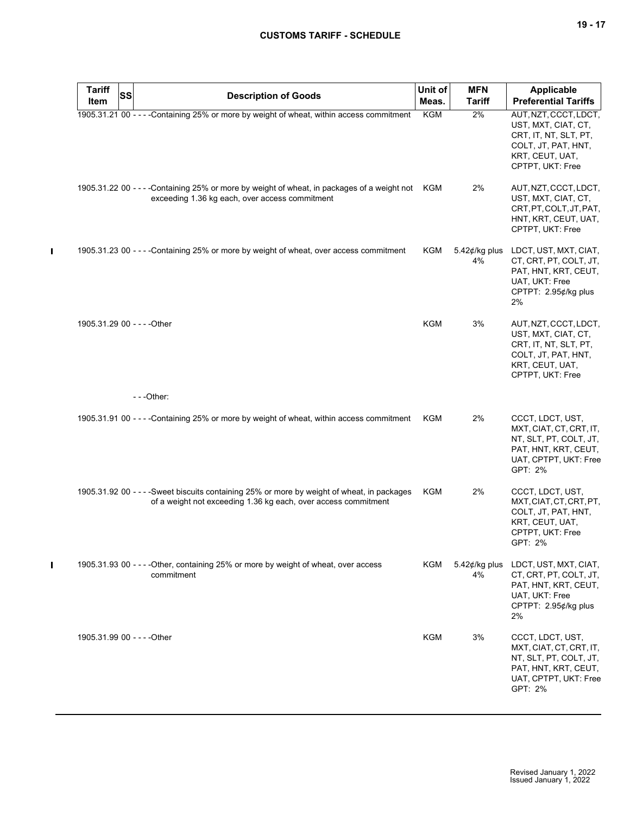| <b>Tariff</b>               | <b>SS</b> |                                                                                                                                                               | Unit of    | <b>MFN</b>              | Applicable                                                                                                                          |
|-----------------------------|-----------|---------------------------------------------------------------------------------------------------------------------------------------------------------------|------------|-------------------------|-------------------------------------------------------------------------------------------------------------------------------------|
| Item                        |           | <b>Description of Goods</b>                                                                                                                                   | Meas.      | <b>Tariff</b>           | <b>Preferential Tariffs</b>                                                                                                         |
|                             |           | 1905.31.21 00 - - - - Containing 25% or more by weight of wheat, within access commitment                                                                     | <b>KGM</b> | 2%                      | AUT, NZT, CCCT, LDCT,<br>UST, MXT, CIAT, CT,<br>CRT, IT, NT, SLT, PT,<br>COLT, JT, PAT, HNT,<br>KRT, CEUT, UAT,<br>CPTPT, UKT: Free |
|                             |           | 1905.31.22 00 - - - - Containing 25% or more by weight of wheat, in packages of a weight not KGM<br>exceeding 1.36 kg each, over access commitment            |            | 2%                      | AUT, NZT, CCCT, LDCT,<br>UST, MXT, CIAT, CT,<br>CRT.PT.COLT.JT.PAT.<br>HNT, KRT, CEUT, UAT,<br>CPTPT, UKT: Free                     |
|                             |           | 1905.31.23 00 - - - - Containing 25% or more by weight of wheat, over access commitment                                                                       | KGM        | 5.42 $¢$ /kg plus<br>4% | LDCT, UST, MXT, CIAT,<br>CT, CRT, PT, COLT, JT,<br>PAT, HNT, KRT, CEUT,<br>UAT, UKT: Free<br>CPTPT: 2.95¢/kg plus<br>2%             |
| 1905.31.29 00 - - - - Other |           |                                                                                                                                                               | KGM        | 3%                      | AUT, NZT, CCCT, LDCT,<br>UST, MXT, CIAT, CT,<br>CRT, IT, NT, SLT, PT,<br>COLT, JT, PAT, HNT,<br>KRT, CEUT, UAT,<br>CPTPT, UKT: Free |
|                             |           | $- -$ Other:                                                                                                                                                  |            |                         |                                                                                                                                     |
|                             |           | 1905.31.91 00 - - - - Containing 25% or more by weight of wheat, within access commitment                                                                     | KGM        | 2%                      | CCCT, LDCT, UST,<br>MXT, CIAT, CT, CRT, IT,<br>NT, SLT, PT, COLT, JT,<br>PAT, HNT, KRT, CEUT,<br>UAT, CPTPT, UKT: Free<br>GPT: 2%   |
|                             |           | 1905.31.92 00 - - - - Sweet biscuits containing 25% or more by weight of wheat, in packages<br>of a weight not exceeding 1.36 kg each, over access commitment | KGM        | 2%                      | CCCT, LDCT, UST,<br>MXT, CIAT, CT, CRT, PT,<br>COLT, JT, PAT, HNT,<br>KRT, CEUT, UAT,<br>CPTPT, UKT: Free<br>GPT: 2%                |
|                             |           | 1905.31.93 00 - - - - Other, containing 25% or more by weight of wheat, over access<br>commitment                                                             | KGM        | 5.42 $¢$ /kg plus<br>4% | LDCT, UST, MXT, CIAT,<br>CT, CRT, PT, COLT, JT,<br>PAT, HNT, KRT, CEUT,<br>UAT, UKT: Free<br>CPTPT: 2.95¢/kg plus<br>2%             |
| 1905.31.99 00 - - - - Other |           |                                                                                                                                                               | <b>KGM</b> | 3%                      | CCCT, LDCT, UST,<br>MXT, CIAT, CT, CRT, IT,<br>NT, SLT, PT, COLT, JT,<br>PAT, HNT, KRT, CEUT,<br>UAT, CPTPT, UKT: Free<br>GPT: 2%   |

 $\mathbf{I}$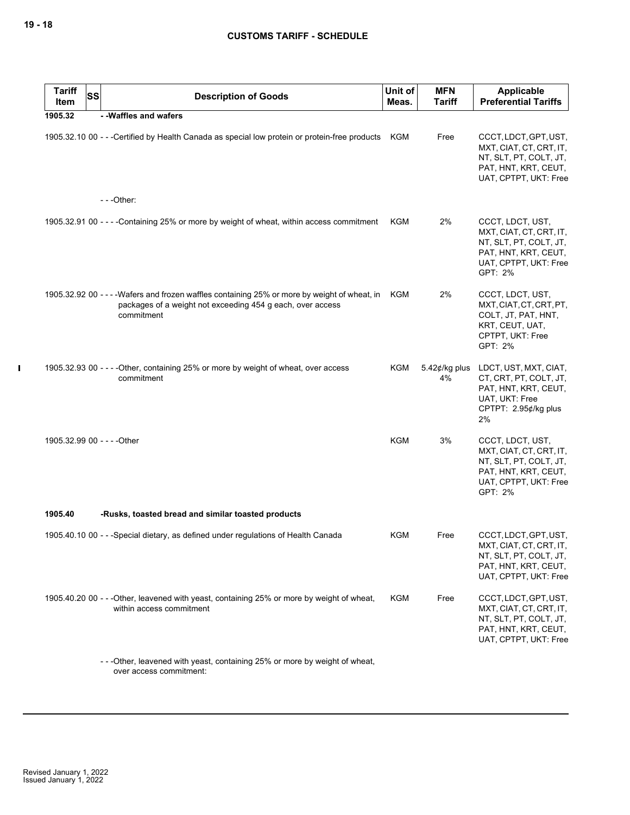| <b>Tariff</b><br>Item       | <b>SS</b> | <b>Description of Goods</b>                                                                                                                                               | Unit of<br>Meas. | <b>MFN</b><br><b>Tariff</b> | <b>Applicable</b><br><b>Preferential Tariffs</b>                                                                                  |
|-----------------------------|-----------|---------------------------------------------------------------------------------------------------------------------------------------------------------------------------|------------------|-----------------------------|-----------------------------------------------------------------------------------------------------------------------------------|
| 1905.32                     |           | - - Waffles and wafers                                                                                                                                                    |                  |                             |                                                                                                                                   |
|                             |           | 1905.32.10 00 - - -Certified by Health Canada as special low protein or protein-free products KGM                                                                         |                  | Free                        | CCCT, LDCT, GPT, UST,<br>MXT, CIAT, CT, CRT, IT,<br>NT, SLT, PT, COLT, JT,<br>PAT, HNT, KRT, CEUT,<br>UAT, CPTPT, UKT: Free       |
|                             |           | $--$ Other:                                                                                                                                                               |                  |                             |                                                                                                                                   |
|                             |           | 1905.32.91 00 - - - - Containing 25% or more by weight of wheat, within access commitment                                                                                 | KGM              | 2%                          | CCCT, LDCT, UST,<br>MXT, CIAT, CT, CRT, IT,<br>NT, SLT, PT, COLT, JT,<br>PAT, HNT, KRT, CEUT,<br>UAT, CPTPT, UKT: Free<br>GPT: 2% |
|                             |           | 1905.32.92 00 - - - - Wafers and frozen waffles containing 25% or more by weight of wheat, in<br>packages of a weight not exceeding 454 g each, over access<br>commitment | KGM              | 2%                          | CCCT, LDCT, UST,<br>MXT, CIAT, CT, CRT, PT,<br>COLT, JT, PAT, HNT,<br>KRT, CEUT, UAT,<br>CPTPT, UKT: Free<br>GPT: 2%              |
|                             |           | 1905.32.93 00 - - - - Other, containing 25% or more by weight of wheat, over access<br>commitment                                                                         | KGM              | 5.42 $¢$ /kg plus<br>4%     | LDCT, UST, MXT, CIAT,<br>CT, CRT, PT, COLT, JT,<br>PAT, HNT, KRT, CEUT,<br>UAT, UKT: Free<br>CPTPT: 2.95¢/kg plus<br>2%           |
| 1905.32.99 00 - - - - Other |           |                                                                                                                                                                           | <b>KGM</b>       | 3%                          | CCCT, LDCT, UST,<br>MXT, CIAT, CT, CRT, IT,<br>NT, SLT, PT, COLT, JT,<br>PAT, HNT, KRT, CEUT,<br>UAT, CPTPT, UKT: Free<br>GPT: 2% |
| 1905.40                     |           | -Rusks, toasted bread and similar toasted products                                                                                                                        |                  |                             |                                                                                                                                   |
|                             |           | 1905.40.10 00 - - - Special dietary, as defined under regulations of Health Canada                                                                                        | KGM              | Free                        | CCCT, LDCT, GPT, UST,<br>MXT, CIAT, CT, CRT, IT,<br>NT, SLT, PT, COLT, JT,<br>PAT, HNT, KRT, CEUT,<br>UAT, CPTPT, UKT: Free       |
|                             |           | 1905.40.20 00 - - - Other, leavened with yeast, containing 25% or more by weight of wheat,<br>within access commitment                                                    | KGM              | Free                        | CCCT, LDCT, GPT, UST,<br>MXT, CIAT, CT, CRT, IT,<br>NT, SLT, PT, COLT, JT,<br>PAT, HNT, KRT, CEUT,<br>UAT, CPTPT, UKT: Free       |
|                             |           | -- - Other, leavened with yeast, containing 25% or more by weight of wheat,<br>over access commitment:                                                                    |                  |                             |                                                                                                                                   |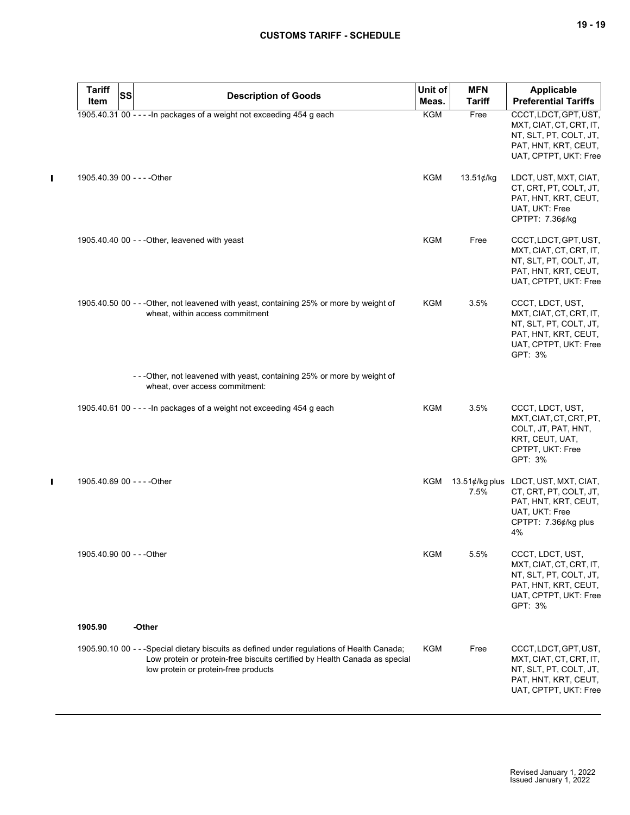$\mathbf{I}$ 

| <b>Tariff</b><br>Item       | SS | <b>Description of Goods</b>                                                                                                                                                                                      | Unit of<br>Meas. | <b>MFN</b><br><b>Tariff</b> | <b>Applicable</b><br><b>Preferential Tariffs</b>                                                                                       |
|-----------------------------|----|------------------------------------------------------------------------------------------------------------------------------------------------------------------------------------------------------------------|------------------|-----------------------------|----------------------------------------------------------------------------------------------------------------------------------------|
|                             |    | 1905.40.31 00 - - - - In packages of a weight not exceeding 454 g each                                                                                                                                           | <b>KGM</b>       | Free                        | CCCT, LDCT, GPT, UST,<br>MXT, CIAT, CT, CRT, IT,<br>NT, SLT, PT, COLT, JT,<br>PAT, HNT, KRT, CEUT,<br>UAT, CPTPT, UKT: Free            |
| 1905.40.39 00 - - - - Other |    |                                                                                                                                                                                                                  | KGM              | $13.51$ ¢/kg                | LDCT, UST, MXT, CIAT,<br>CT, CRT, PT, COLT, JT,<br>PAT, HNT, KRT, CEUT,<br>UAT, UKT: Free<br>CPTPT: 7.36¢/kg                           |
|                             |    | 1905.40.40 00 - - - Other, leavened with yeast                                                                                                                                                                   | <b>KGM</b>       | Free                        | CCCT, LDCT, GPT, UST,<br>MXT, CIAT, CT, CRT, IT,<br>NT, SLT, PT, COLT, JT,<br>PAT, HNT, KRT, CEUT,<br>UAT, CPTPT, UKT: Free            |
|                             |    | 1905.40.50 00 - - - Other, not leavened with yeast, containing 25% or more by weight of<br>wheat, within access commitment                                                                                       | KGM              | 3.5%                        | CCCT, LDCT, UST,<br>MXT, CIAT, CT, CRT, IT,<br>NT, SLT, PT, COLT, JT,<br>PAT, HNT, KRT, CEUT,<br>UAT, CPTPT, UKT: Free<br>GPT: 3%      |
|                             |    | - - - Other, not leavened with yeast, containing 25% or more by weight of<br>wheat, over access commitment:                                                                                                      |                  |                             |                                                                                                                                        |
|                             |    | 1905.40.61 00 - - - - In packages of a weight not exceeding 454 g each                                                                                                                                           | KGM              | 3.5%                        | CCCT, LDCT, UST,<br>MXT, CIAT, CT, CRT, PT,<br>COLT, JT, PAT, HNT,<br>KRT, CEUT, UAT,<br>CPTPT, UKT: Free<br>GPT: 3%                   |
| 1905.40.69 00 - - - - Other |    |                                                                                                                                                                                                                  | KGM              | 7.5%                        | 13.51¢/kg plus LDCT, UST, MXT, CIAT,<br>CT, CRT, PT, COLT, JT,<br>PAT, HNT, KRT, CEUT,<br>UAT, UKT: Free<br>CPTPT: 7.36¢/kg plus<br>4% |
| 1905.40.90 00 - - - Other   |    |                                                                                                                                                                                                                  | KGM              | 5.5%                        | CCCT, LDCT, UST,<br>MXT, CIAT, CT, CRT, IT,<br>NT, SLT, PT, COLT, JT,<br>PAT, HNT, KRT, CEUT,<br>UAT, CPTPT, UKT: Free<br>GPT: 3%      |
| 1905.90                     |    | -Other                                                                                                                                                                                                           |                  |                             |                                                                                                                                        |
|                             |    | 1905.90.10 00 - - -Special dietary biscuits as defined under regulations of Health Canada;<br>Low protein or protein-free biscuits certified by Health Canada as special<br>low protein or protein-free products | KGM              | Free                        | CCCT, LDCT, GPT, UST,<br>MXT, CIAT, CT, CRT, IT,<br>NT, SLT, PT, COLT, JT,<br>PAT, HNT, KRT, CEUT,<br>UAT, CPTPT, UKT: Free            |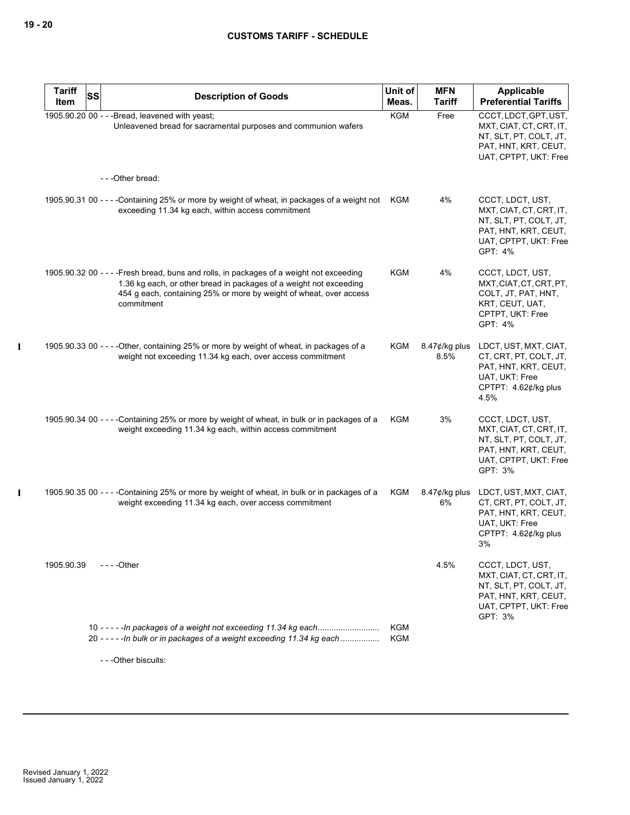$\mathbf{l}$ 

| <b>Tariff</b> | <b>SS</b> | <b>Description of Goods</b>                                                                                                                                                                                                                        | Unit of           | <b>MFN</b>               | Applicable                                                                                                                        |
|---------------|-----------|----------------------------------------------------------------------------------------------------------------------------------------------------------------------------------------------------------------------------------------------------|-------------------|--------------------------|-----------------------------------------------------------------------------------------------------------------------------------|
| Item          |           |                                                                                                                                                                                                                                                    | Meas.             | <b>Tariff</b>            | <b>Preferential Tariffs</b>                                                                                                       |
|               |           | 1905.90.20 00 - - - Bread, leavened with yeast;<br>Unleavened bread for sacramental purposes and communion wafers                                                                                                                                  | <b>KGM</b>        | Free                     | CCCT, LDCT, GPT, UST,<br>MXT, CIAT, CT, CRT, IT,<br>NT, SLT, PT, COLT, JT,<br>PAT, HNT, KRT, CEUT,<br>UAT, CPTPT, UKT: Free       |
|               |           | ---Other bread:                                                                                                                                                                                                                                    |                   |                          |                                                                                                                                   |
|               |           | 1905.90.31 00 - - - -Containing 25% or more by weight of wheat, in packages of a weight not KGM<br>exceeding 11.34 kg each, within access commitment                                                                                               |                   | 4%                       | CCCT, LDCT, UST,<br>MXT, CIAT, CT, CRT, IT,<br>NT, SLT, PT, COLT, JT,<br>PAT, HNT, KRT, CEUT,<br>UAT, CPTPT, UKT: Free<br>GPT: 4% |
|               |           | 1905.90.32 00 - - - - Fresh bread, buns and rolls, in packages of a weight not exceeding<br>1.36 kg each, or other bread in packages of a weight not exceeding<br>454 g each, containing 25% or more by weight of wheat, over access<br>commitment | <b>KGM</b>        | 4%                       | CCCT, LDCT, UST,<br>MXT, CIAT, CT, CRT, PT,<br>COLT, JT, PAT, HNT,<br>KRT, CEUT, UAT,<br>CPTPT, UKT: Free<br>GPT: 4%              |
|               |           | 1905.90.33 00 - - - - Other, containing 25% or more by weight of wheat, in packages of a<br>weight not exceeding 11.34 kg each, over access commitment                                                                                             | KGM               | $8.47$ ¢/kg plus<br>8.5% | LDCT, UST, MXT, CIAT,<br>CT, CRT, PT, COLT, JT,<br>PAT, HNT, KRT, CEUT,<br>UAT, UKT: Free<br>CPTPT: 4.62¢/kg plus<br>4.5%         |
|               |           | 1905.90.34 00 - - - -Containing 25% or more by weight of wheat, in bulk or in packages of a<br>weight exceeding 11.34 kg each, within access commitment                                                                                            | KGM               | 3%                       | CCCT, LDCT, UST,<br>MXT, CIAT, CT, CRT, IT,<br>NT, SLT, PT, COLT, JT,<br>PAT, HNT, KRT, CEUT,<br>UAT, CPTPT, UKT: Free<br>GPT: 3% |
|               |           | 1905.90.35 00 - - - -Containing 25% or more by weight of wheat, in bulk or in packages of a<br>weight exceeding 11.34 kg each, over access commitment                                                                                              | KGM               | $8.47$ ¢/kg plus<br>6%   | LDCT, UST, MXT, CIAT,<br>CT, CRT, PT, COLT, JT,<br>PAT, HNT, KRT, CEUT,<br>UAT, UKT: Free<br>CPTPT: 4.62¢/kg plus<br>3%           |
| 1905.90.39    |           | -  -  - -Other                                                                                                                                                                                                                                     |                   | 4.5%                     | CCCT, LDCT, UST,<br>MXT, CIAT, CT, CRT, IT,<br>NT, SLT, PT, COLT, JT,<br>PAT, HNT, KRT, CEUT,<br>UAT, CPTPT, UKT: Free<br>GPT: 3% |
|               |           | 20 ----- - In bulk or in packages of a weight exceeding 11.34 kg each                                                                                                                                                                              | <b>KGM</b><br>KGM |                          |                                                                                                                                   |
|               |           | - - - Other biscuits:                                                                                                                                                                                                                              |                   |                          |                                                                                                                                   |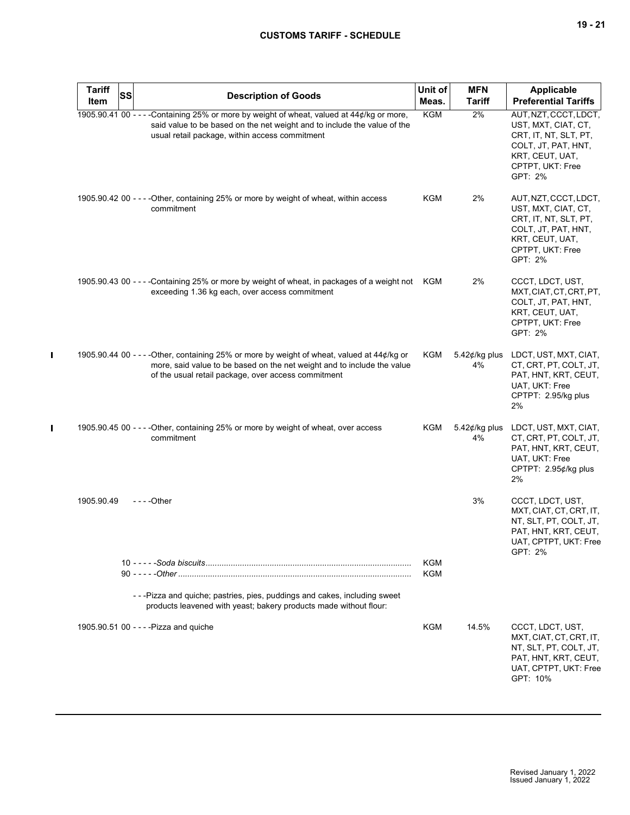| <b>Tariff</b><br>Item | SS | <b>Description of Goods</b>                                                                                                                                                                                                   | Unit of<br>Meas.  | <b>MFN</b><br><b>Tariff</b> | <b>Applicable</b><br><b>Preferential Tariffs</b>                                                                                               |
|-----------------------|----|-------------------------------------------------------------------------------------------------------------------------------------------------------------------------------------------------------------------------------|-------------------|-----------------------------|------------------------------------------------------------------------------------------------------------------------------------------------|
|                       |    | 1905.90.41 00 - - - - Containing 25% or more by weight of wheat, valued at 44¢/kg or more,<br>said value to be based on the net weight and to include the value of the<br>usual retail package, within access commitment      | <b>KGM</b>        | 2%                          | AUT, NZT, CCCT, LDCT,<br>UST, MXT, CIAT, CT,<br>CRT, IT, NT, SLT, PT,<br>COLT, JT, PAT, HNT,<br>KRT, CEUT, UAT,<br>CPTPT, UKT: Free<br>GPT: 2% |
|                       |    | 1905.90.42 00 - - - - Other, containing 25% or more by weight of wheat, within access<br>commitment                                                                                                                           | KGM               | 2%                          | AUT, NZT, CCCT, LDCT,<br>UST, MXT, CIAT, CT,<br>CRT, IT, NT, SLT, PT,<br>COLT, JT, PAT, HNT,<br>KRT, CEUT, UAT,<br>CPTPT, UKT: Free<br>GPT: 2% |
|                       |    | 1905.90.43 00 - - - - Containing 25% or more by weight of wheat, in packages of a weight not<br>exceeding 1.36 kg each, over access commitment                                                                                | KGM               | 2%                          | CCCT, LDCT, UST,<br>MXT, CIAT, CT, CRT, PT,<br>COLT, JT, PAT, HNT,<br>KRT, CEUT, UAT,<br>CPTPT, UKT: Free<br>GPT: 2%                           |
|                       |    | 1905.90.44 00 - - - - Other, containing 25% or more by weight of wheat, valued at 44¢/kg or<br>more, said value to be based on the net weight and to include the value<br>of the usual retail package, over access commitment | KGM               | 5.42 $¢$ /kg plus<br>4%     | LDCT, UST, MXT, CIAT,<br>CT, CRT, PT, COLT, JT,<br>PAT, HNT, KRT, CEUT,<br>UAT, UKT: Free<br>CPTPT: 2.95/kg plus<br>2%                         |
|                       |    | 1905.90.45 00 - - - - Other, containing 25% or more by weight of wheat, over access<br>commitment                                                                                                                             | KGM               | 5.42 $¢$ /kg plus<br>4%     | LDCT, UST, MXT, CIAT,<br>CT, CRT, PT, COLT, JT,<br>PAT, HNT, KRT, CEUT,<br>UAT, UKT: Free<br>CPTPT: 2.95¢/kg plus<br>2%                        |
| 1905.90.49            |    | - - - - Other                                                                                                                                                                                                                 |                   | 3%                          | CCCT, LDCT, UST,<br>MXT, CIAT, CT, CRT, IT,<br>NT, SLT, PT, COLT, JT,<br>PAT, HNT, KRT, CEUT,<br>UAT, CPTPT, UKT: Free<br>GPT: 2%              |
|                       |    |                                                                                                                                                                                                                               | <b>KGM</b><br>KGM |                             |                                                                                                                                                |
|                       |    | - - - Pizza and quiche; pastries, pies, puddings and cakes, including sweet<br>products leavened with yeast; bakery products made without flour:                                                                              |                   |                             |                                                                                                                                                |
|                       |    | 1905.90.51 00 - - - - Pizza and quiche                                                                                                                                                                                        | KGM               | 14.5%                       | CCCT, LDCT, UST,<br>MXT, CIAT, CT, CRT, IT,<br>NT, SLT, PT, COLT, JT,<br>PAT, HNT, KRT, CEUT,<br>UAT, CPTPT, UKT: Free<br>GPT: 10%             |

 $\mathbf{I}$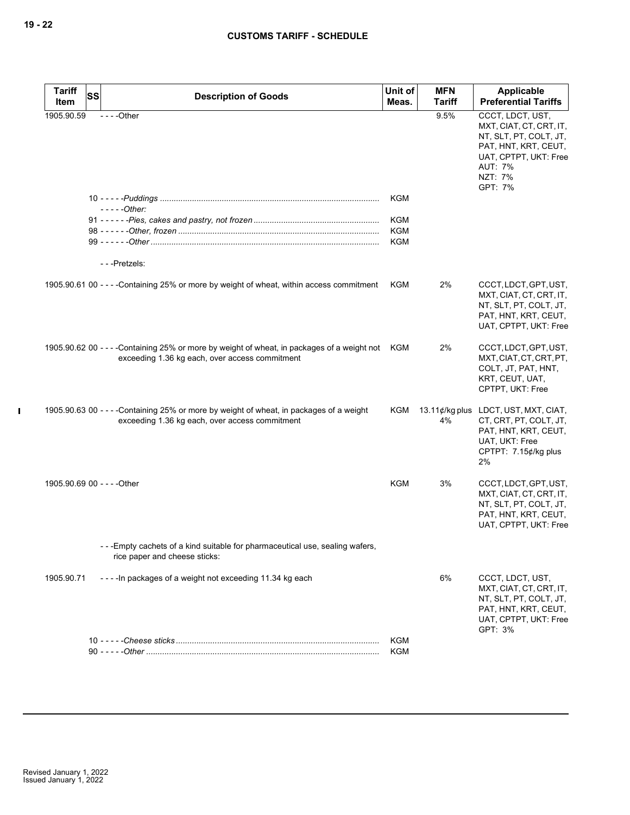| <b>Tariff</b><br><b>SS</b>  |                                                                                                                                               | Unit of    | <b>MFN</b>                  | Applicable                                                                                                                                                     |  |
|-----------------------------|-----------------------------------------------------------------------------------------------------------------------------------------------|------------|-----------------------------|----------------------------------------------------------------------------------------------------------------------------------------------------------------|--|
| Item                        | <b>Description of Goods</b>                                                                                                                   | Meas.      | <b>Tariff</b>               | <b>Preferential Tariffs</b>                                                                                                                                    |  |
| 1905.90.59                  | $--$ Other                                                                                                                                    |            | 9.5%                        | CCCT, LDCT, UST,<br>MXT, CIAT, CT, CRT, IT,<br>NT, SLT, PT, COLT, JT,<br>PAT, HNT, KRT, CEUT,<br>UAT, CPTPT, UKT: Free<br><b>AUT: 7%</b><br>NZT: 7%<br>GPT: 7% |  |
|                             |                                                                                                                                               | KGM        |                             |                                                                                                                                                                |  |
|                             | $---Other:$                                                                                                                                   | KGM        |                             |                                                                                                                                                                |  |
|                             |                                                                                                                                               | KGM        |                             |                                                                                                                                                                |  |
|                             |                                                                                                                                               | KGM        |                             |                                                                                                                                                                |  |
|                             | ---Pretzels:                                                                                                                                  |            |                             |                                                                                                                                                                |  |
|                             | 1905.90.61 00 - - - - Containing 25% or more by weight of wheat, within access commitment                                                     | <b>KGM</b> | 2%                          | CCCT, LDCT, GPT, UST,<br>MXT, CIAT, CT, CRT, IT,<br>NT, SLT, PT, COLT, JT,<br>PAT, HNT, KRT, CEUT,<br>UAT, CPTPT, UKT: Free                                    |  |
|                             | 1905.90.62 00 - - - -Containing 25% or more by weight of wheat, in packages of a weight not<br>exceeding 1.36 kg each, over access commitment | KGM        | 2%                          | CCCT, LDCT, GPT, UST,<br>MXT, CIAT, CT, CRT, PT,<br>COLT, JT, PAT, HNT,<br>KRT, CEUT, UAT,<br>CPTPT, UKT: Free                                                 |  |
|                             | 1905.90.63 00 - - - - Containing 25% or more by weight of wheat, in packages of a weight<br>exceeding 1.36 kg each, over access commitment    | KGM        | 13.11 $\phi$ /kg plus<br>4% | LDCT, UST, MXT, CIAT,<br>CT, CRT, PT, COLT, JT,<br>PAT, HNT, KRT, CEUT,<br>UAT, UKT: Free<br>CPTPT: 7.15¢/kg plus<br>2%                                        |  |
| 1905.90.69 00 - - - - Other |                                                                                                                                               | <b>KGM</b> | 3%                          | CCCT, LDCT, GPT, UST,<br>MXT, CIAT, CT, CRT, IT,<br>NT, SLT, PT, COLT, JT,<br>PAT, HNT, KRT, CEUT,<br>UAT, CPTPT, UKT: Free                                    |  |
|                             | - - -Empty cachets of a kind suitable for pharmaceutical use, sealing wafers,<br>rice paper and cheese sticks:                                |            |                             |                                                                                                                                                                |  |
| 1905.90.71                  | ---- In packages of a weight not exceeding 11.34 kg each                                                                                      |            | 6%                          | CCCT, LDCT, UST,<br>MXT, CIAT, CT, CRT, IT,<br>NT, SLT, PT, COLT, JT,<br>PAT, HNT, KRT, CEUT,<br>UAT, CPTPT, UKT: Free<br>GPT: 3%                              |  |
|                             |                                                                                                                                               | <b>KGM</b> |                             |                                                                                                                                                                |  |
|                             |                                                                                                                                               | <b>KGM</b> |                             |                                                                                                                                                                |  |